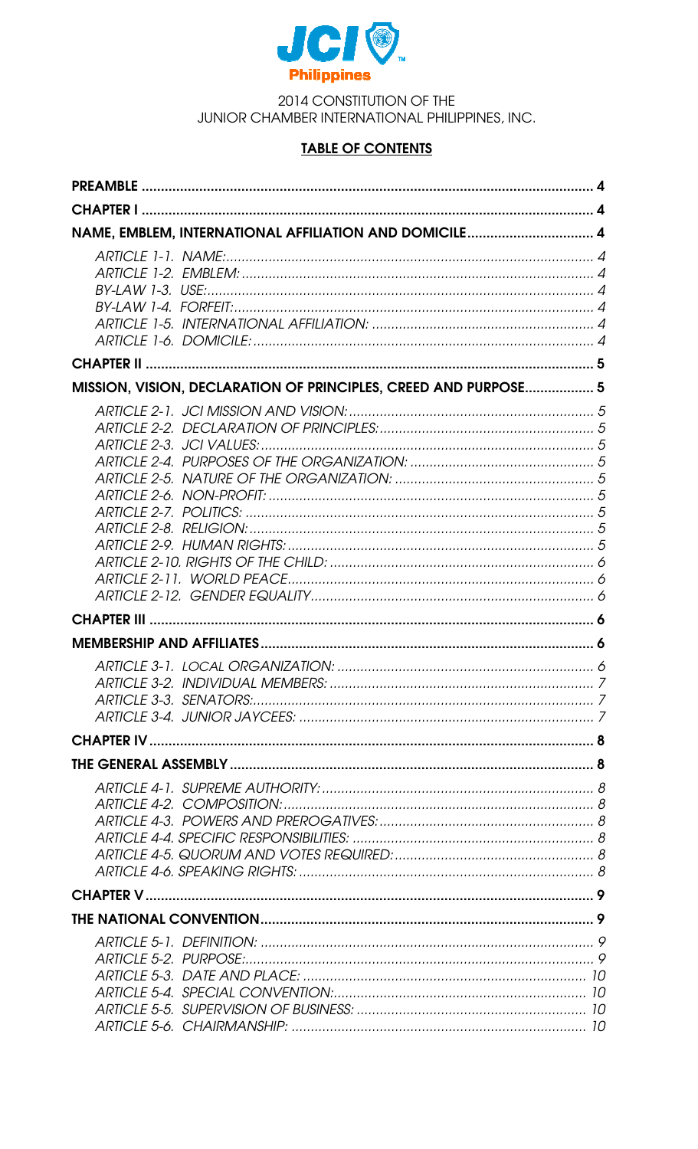

2014 CONSTITUTION OF THE JUNIOR CHAMBER INTERNATIONAL PHILIPPINES, INC.

# **TABLE OF CONTENTS**

| NAME, EMBLEM, INTERNATIONAL AFFILIATION AND DOMICILE 4          |  |
|-----------------------------------------------------------------|--|
|                                                                 |  |
|                                                                 |  |
| MISSION, VISION, DECLARATION OF PRINCIPLES, CREED AND PURPOSE 5 |  |
|                                                                 |  |
|                                                                 |  |
|                                                                 |  |
|                                                                 |  |
|                                                                 |  |
|                                                                 |  |
|                                                                 |  |
|                                                                 |  |
|                                                                 |  |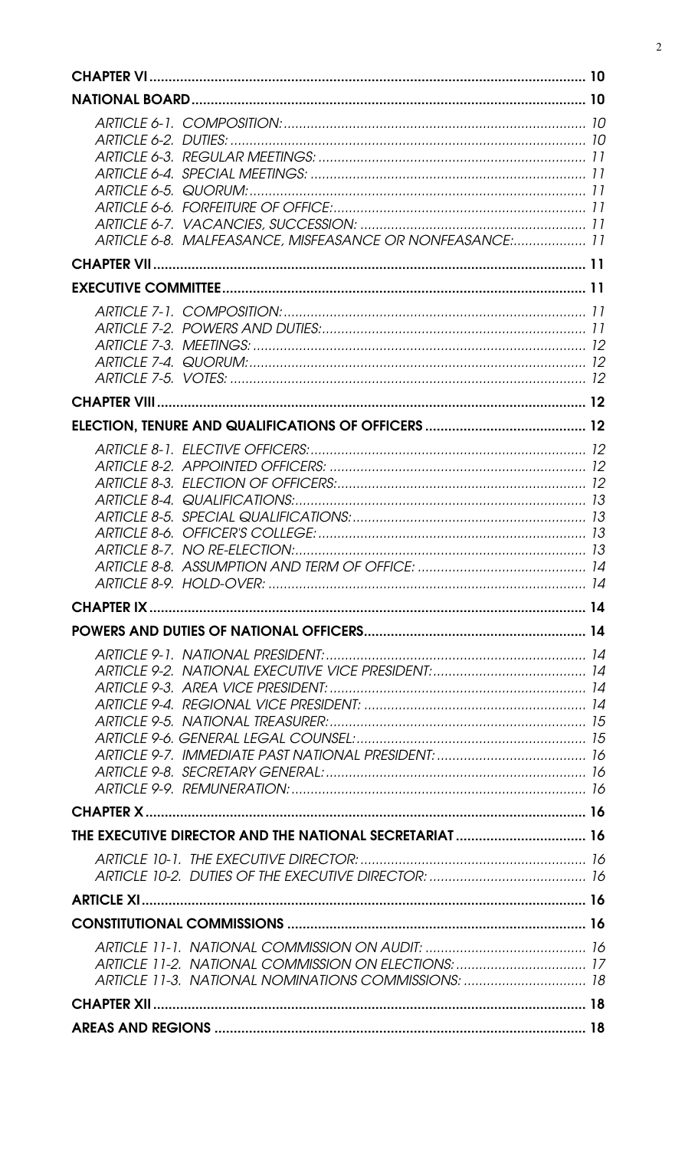| 10 |                                                                                                            |    |
|----|------------------------------------------------------------------------------------------------------------|----|
| 10 |                                                                                                            |    |
|    | ARTICLE 6-8. MALFEASANCE, MISFEASANCE OR NONFEASANCE: 11                                                   |    |
|    |                                                                                                            | 11 |
|    |                                                                                                            | 11 |
|    |                                                                                                            |    |
|    |                                                                                                            |    |
|    |                                                                                                            |    |
|    |                                                                                                            |    |
|    |                                                                                                            |    |
|    |                                                                                                            |    |
|    |                                                                                                            |    |
|    | THE EXECUTIVE DIRECTOR AND THE NATIONAL SECRETARIAT  16                                                    |    |
|    |                                                                                                            |    |
|    |                                                                                                            |    |
|    |                                                                                                            |    |
|    |                                                                                                            |    |
|    | ARTICLE 11-2. NATIONAL COMMISSION ON ELECTIONS:  17<br>ARTICLE 11-3. NATIONAL NOMINATIONS COMMISSIONS:  18 |    |
|    |                                                                                                            |    |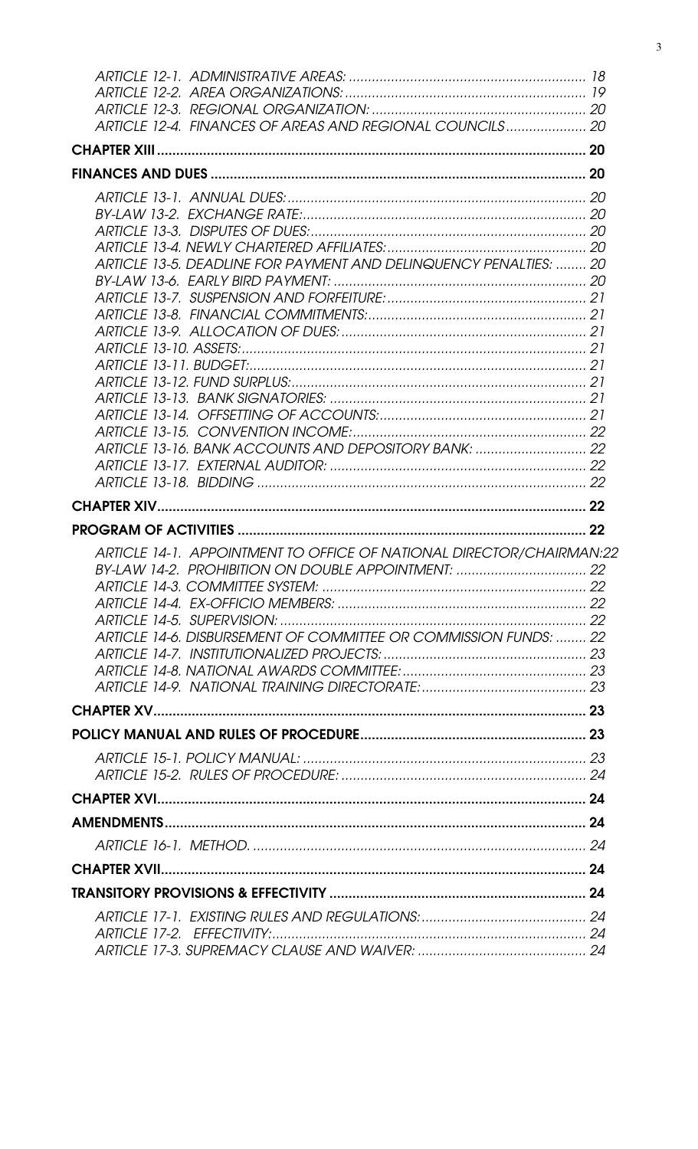| ARTICLE 12-4. FINANCES OF AREAS AND REGIONAL COUNCILS 20                                                                                                                                        |  |
|-------------------------------------------------------------------------------------------------------------------------------------------------------------------------------------------------|--|
|                                                                                                                                                                                                 |  |
|                                                                                                                                                                                                 |  |
| ARTICLE 13-5. DEADLINE FOR PAYMENT AND DELINQUENCY PENALTIES:  20                                                                                                                               |  |
|                                                                                                                                                                                                 |  |
|                                                                                                                                                                                                 |  |
|                                                                                                                                                                                                 |  |
|                                                                                                                                                                                                 |  |
| ARTICLE 14-1. APPOINTMENT TO OFFICE OF NATIONAL DIRECTOR/CHAIRMAN:22<br>BY-LAW 14-2. PROHIBITION ON DOUBLE APPOINTMENT:  22<br>ARTICLE 14-6. DISBURSEMENT OF COMMITTEE OR COMMISSION FUNDS:  22 |  |
|                                                                                                                                                                                                 |  |
|                                                                                                                                                                                                 |  |
|                                                                                                                                                                                                 |  |
|                                                                                                                                                                                                 |  |
|                                                                                                                                                                                                 |  |
|                                                                                                                                                                                                 |  |
|                                                                                                                                                                                                 |  |
|                                                                                                                                                                                                 |  |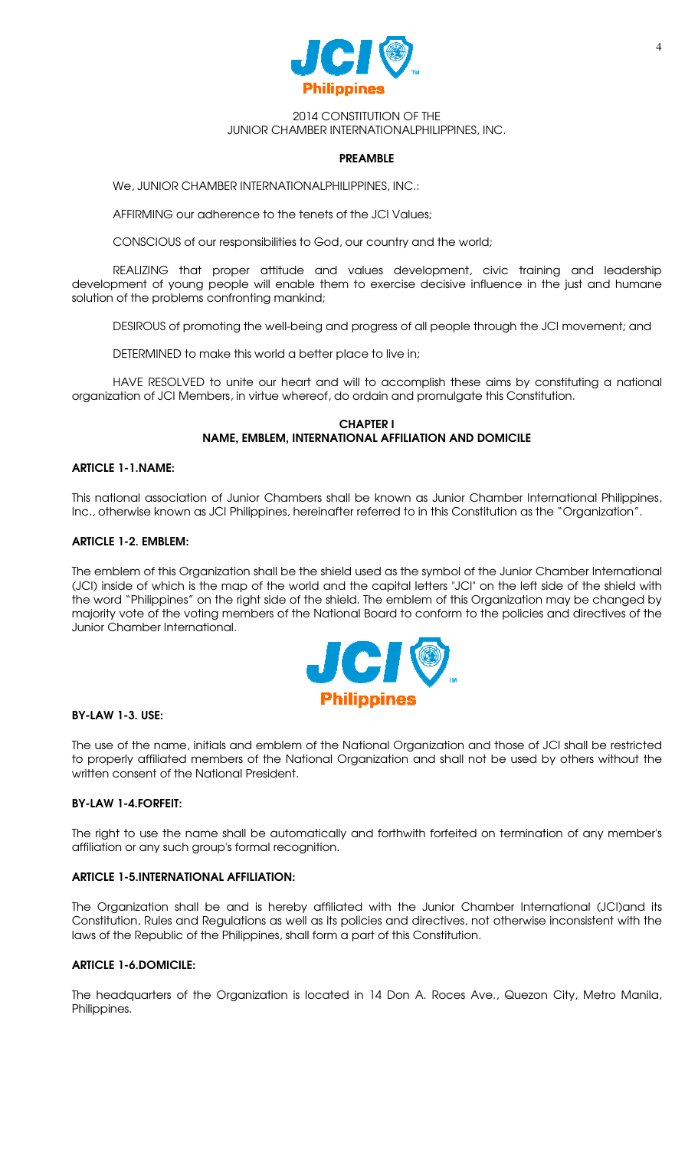

#### 2014 CONSTITUTION OF THE JUNIOR CHAMBER INTERNATIONALPHILIPPINES, INC.

#### PREAMBLE

We, JUNIOR CHAMBER INTERNATIONALPHILIPPINES, INC.:

AFFIRMING our adherence to the tenets of the JCI Values;

CONSCIOUS of our responsibilities to God, our country and the world;

REALIZING that proper attitude and values development, civic training and leadership development of young people will enable them to exercise decisive influence in the just and humane solution of the problems confronting mankind;

DESIROUS of promoting the well-being and progress of all people through the JCI movement; and

DETERMINED to make this world a better place to live in;

HAVE RESOLVED to unite our heart and will to accomplish these aims by constituting a national organization of JCI Members, in virtue whereof, do ordain and promulgate this Constitution.

### CHAPTER I NAME, EMBLEM, INTERNATIONAL AFFILIATION AND DOMICILE

### ARTICLE 1-1.NAME:

This national association of Junior Chambers shall be known as Junior Chamber International Philippines, Inc., otherwise known as JCI Philippines, hereinafter referred to in this Constitution as the "Organization".

#### ARTICLE 1-2. EMBLEM:

The emblem of this Organization shall be the shield used as the symbol of the Junior Chamber International (JCI) inside of which is the map of the world and the capital letters "JCI" on the left side of the shield with the word "Philippines" on the right side of the shield. The emblem of this Organization may be changed by majority vote of the voting members of the National Board to conform to the policies and directives of the Junior Chamber International.



#### BY-LAW 1-3. USE:

The use of the name, initials and emblem of the National Organization and those of JCI shall be restricted to properly affiliated members of the National Organization and shall not be used by others without the written consent of the National President.

### BY-LAW 1-4.FORFEIT:

The right to use the name shall be automatically and forthwith forfeited on termination of any member's affiliation or any such group's formal recognition.

### ARTICLE 1-5.INTERNATIONAL AFFILIATION:

The Organization shall be and is hereby affiliated with the Junior Chamber International (JCI)and its Constitution, Rules and Regulations as well as its policies and directives, not otherwise inconsistent with the laws of the Republic of the Philippines, shall form a part of this Constitution.

#### ARTICLE 1-6.DOMICILE:

The headquarters of the Organization is located in 14 Don A. Roces Ave., Quezon City, Metro Manila, Philippines.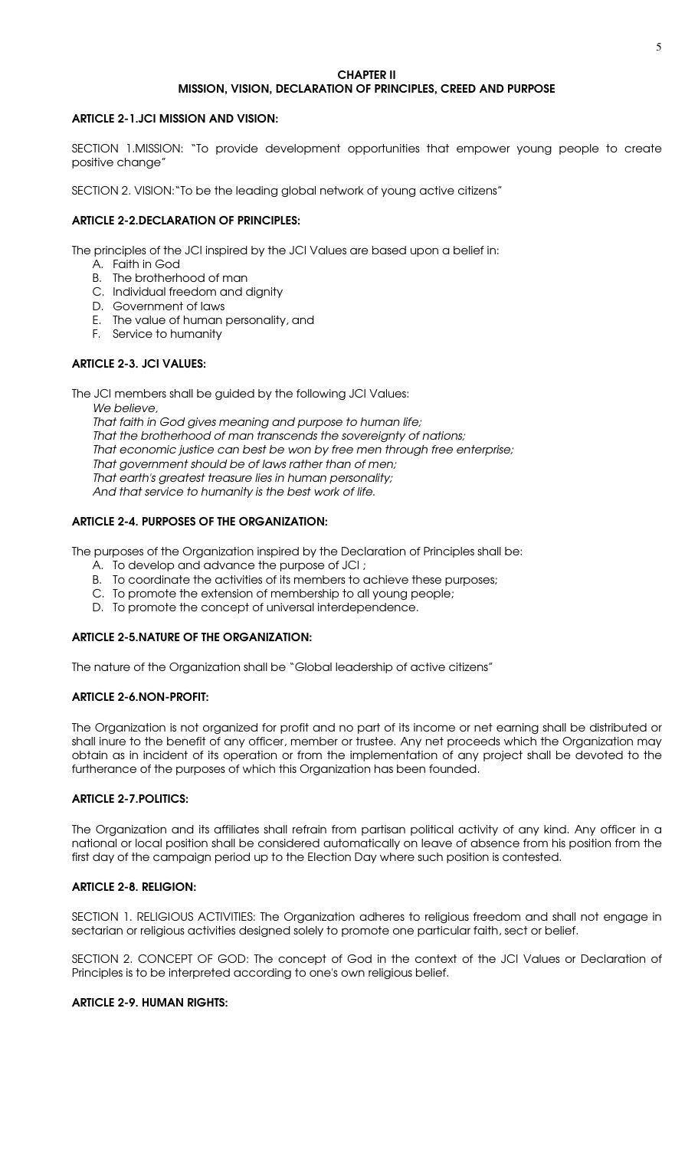#### CHAPTER II MISSION, VISION, DECLARATION OF PRINCIPLES, CREED AND PURPOSE

### ARTICLE 2-1.JCI MISSION AND VISION:

SECTION 1.MISSION: "To provide development opportunities that empower young people to create positive change"

SECTION 2. VISION:"To be the leading global network of young active citizens"

# ARTICLE 2-2.DECLARATION OF PRINCIPLES:

The principles of the JCI inspired by the JCI Values are based upon a belief in:

- A. Faith in God
- B. The brotherhood of man
- C. Individual freedom and dignity
- D. Government of laws
- E. The value of human personality, and
- F. Service to humanity

# ARTICLE 2-3. JCI VALUES:

The JCI members shall be guided by the following JCI Values:

We believe. That faith in God gives meaning and purpose to human life; That the brotherhood of man transcends the sovereignty of nations; That economic justice can best be won by free men through free enterprise; That government should be of laws rather than of men; That earth's greatest treasure lies in human personality; And that service to humanity is the best work of life.

# ARTICLE 2-4. PURPOSES OF THE ORGANIZATION:

The purposes of the Organization inspired by the Declaration of Principles shall be:

- A. To develop and advance the purpose of JCI ;
- B. To coordinate the activities of its members to achieve these purposes;
- C. To promote the extension of membership to all young people;
- D. To promote the concept of universal interdependence.

### ARTICLE 2-5.NATURE OF THE ORGANIZATION:

The nature of the Organization shall be "Global leadership of active citizens"

### ARTICLE 2-6.NON-PROFIT:

The Organization is not organized for profit and no part of its income or net earning shall be distributed or shall inure to the benefit of any officer, member or trustee. Any net proceeds which the Organization may obtain as in incident of its operation or from the implementation of any project shall be devoted to the furtherance of the purposes of which this Organization has been founded.

### ARTICLE 2-7.POLITICS:

The Organization and its affiliates shall refrain from partisan political activity of any kind. Any officer in a national or local position shall be considered automatically on leave of absence from his position from the first day of the campaign period up to the Election Day where such position is contested.

# ARTICLE 2-8. RELIGION:

SECTION 1. RELIGIOUS ACTIVITIES: The Organization adheres to religious freedom and shall not engage in sectarian or religious activities designed solely to promote one particular faith, sect or belief.

SECTION 2. CONCEPT OF GOD: The concept of God in the context of the JCI Values or Declaration of Principles is to be interpreted according to one's own religious belief.

### ARTICLE 2-9. HUMAN RIGHTS: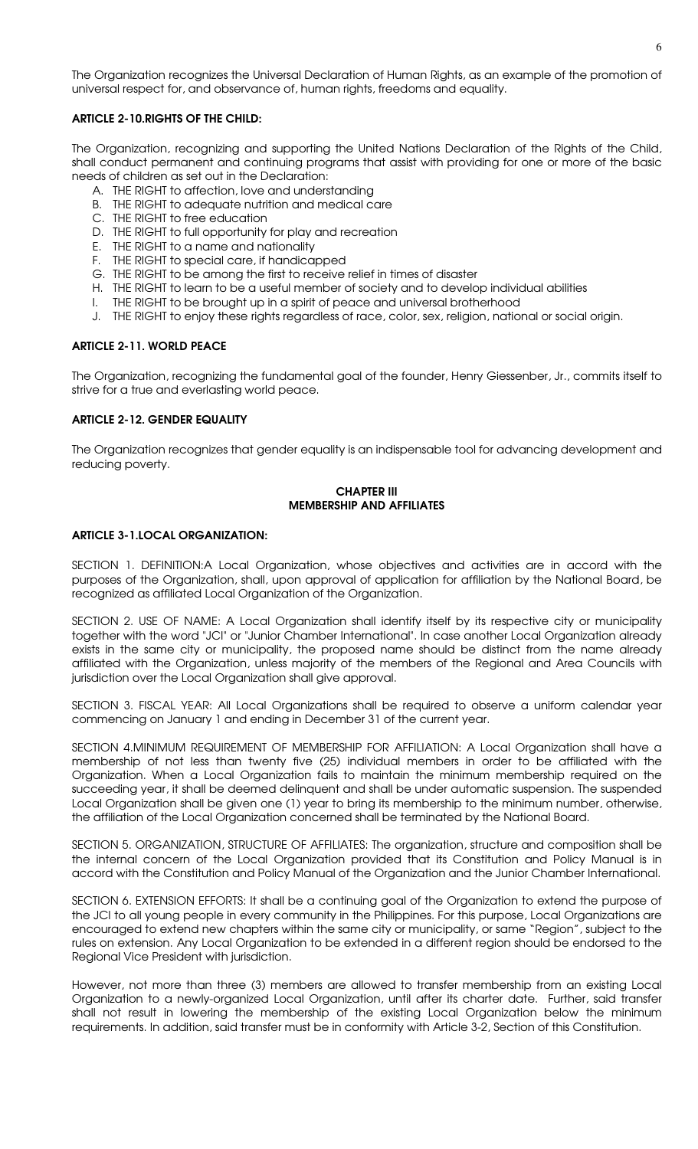The Organization recognizes the Universal Declaration of Human Rights, as an example of the promotion of universal respect for, and observance of, human rights, freedoms and equality.

### ARTICLE 2-10.RIGHTS OF THE CHILD:

The Organization, recognizing and supporting the United Nations Declaration of the Rights of the Child, shall conduct permanent and continuing programs that assist with providing for one or more of the basic needs of children as set out in the Declaration:

- A. THE RIGHT to affection, love and understanding
- B. THE RIGHT to adequate nutrition and medical care
- C. THE RIGHT to free education
- D. THE RIGHT to full opportunity for play and recreation
- E. THE RIGHT to a name and nationality
- F. THE RIGHT to special care, if handicapped
- G. THE RIGHT to be among the first to receive relief in times of disaster
- H. THE RIGHT to learn to be a useful member of society and to develop individual abilities
- I. THE RIGHT to be brought up in a spirit of peace and universal brotherhood
- J. THE RIGHT to enjoy these rights regardless of race, color, sex, religion, national or social origin.

### ARTICLE 2-11. WORLD PEACE

The Organization, recognizing the fundamental goal of the founder, Henry Giessenber, Jr., commits itself to strive for a true and everlasting world peace.

#### ARTICLE 2-12. GENDER EQUALITY

The Organization recognizes that gender equality is an indispensable tool for advancing development and reducing poverty.

#### CHAPTER III MEMBERSHIP AND AFFILIATES

#### ARTICLE 3-1.LOCAL ORGANIZATION:

SECTION 1. DEFINITION:A Local Organization, whose objectives and activities are in accord with the purposes of the Organization, shall, upon approval of application for affiliation by the National Board, be recognized as affiliated Local Organization of the Organization.

SECTION 2. USE OF NAME: A Local Organization shall identify itself by its respective city or municipality together with the word "JCI" or "Junior Chamber International". In case another Local Organization already exists in the same city or municipality, the proposed name should be distinct from the name already affiliated with the Organization, unless majority of the members of the Regional and Area Councils with jurisdiction over the Local Organization shall give approval.

SECTION 3. FISCAL YEAR: All Local Organizations shall be required to observe a uniform calendar year commencing on January 1 and ending in December 31 of the current year.

SECTION 4.MINIMUM REQUIREMENT OF MEMBERSHIP FOR AFFILIATION: A Local Organization shall have a membership of not less than twenty five (25) individual members in order to be affiliated with the Organization. When a Local Organization fails to maintain the minimum membership required on the succeeding year, it shall be deemed delinquent and shall be under automatic suspension. The suspended Local Organization shall be given one (1) year to bring its membership to the minimum number, otherwise, the affiliation of the Local Organization concerned shall be terminated by the National Board.

SECTION 5. ORGANIZATION, STRUCTURE OF AFFILIATES: The organization, structure and composition shall be the internal concern of the Local Organization provided that its Constitution and Policy Manual is in accord with the Constitution and Policy Manual of the Organization and the Junior Chamber International.

SECTION 6. EXTENSION EFFORTS: It shall be a continuing goal of the Organization to extend the purpose of the JCI to all young people in every community in the Philippines. For this purpose, Local Organizations are encouraged to extend new chapters within the same city or municipality, or same "Region", subject to the rules on extension. Any Local Organization to be extended in a different region should be endorsed to the Regional Vice President with jurisdiction.

However, not more than three (3) members are allowed to transfer membership from an existing Local Organization to a newly-organized Local Organization, until after its charter date. Further, said transfer shall not result in lowering the membership of the existing Local Organization below the minimum requirements. In addition, said transfer must be in conformity with Article 3-2, Section of this Constitution.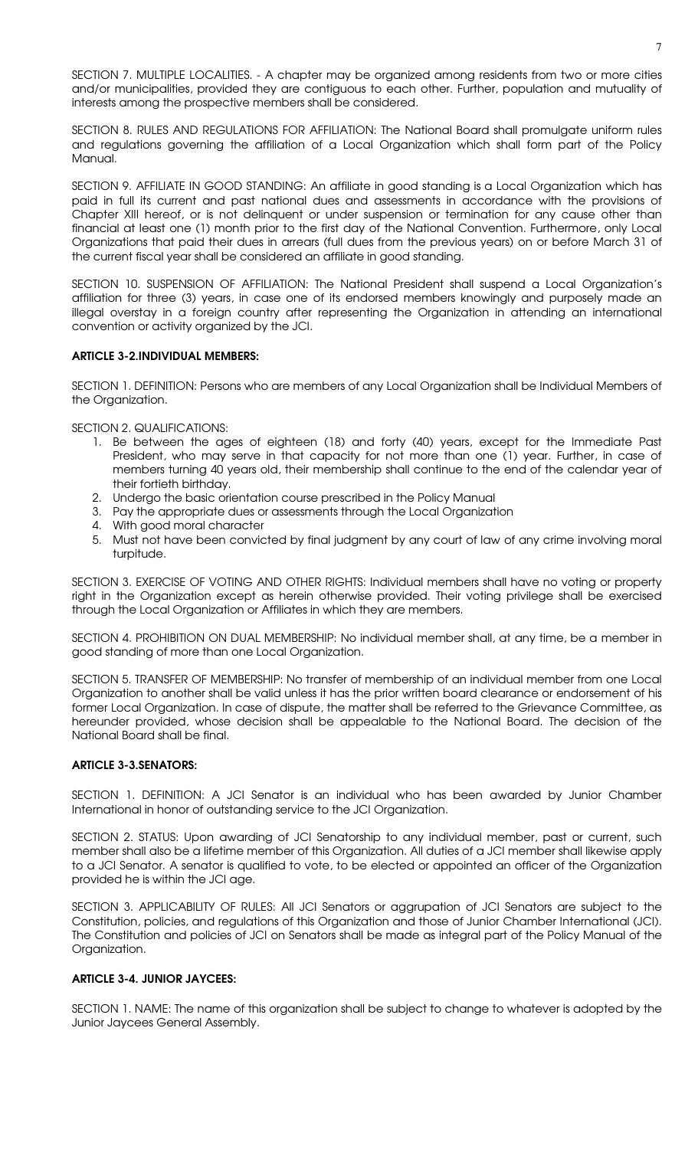SECTION 7. MULTIPLE LOCALITIES. - A chapter may be organized among residents from two or more cities and/or municipalities, provided they are contiguous to each other. Further, population and mutuality of interests among the prospective members shall be considered.

SECTION 8. RULES AND REGULATIONS FOR AFFILIATION: The National Board shall promulgate uniform rules and regulations governing the affiliation of a Local Organization which shall form part of the Policy Manual.

SECTION 9. AFFILIATE IN GOOD STANDING: An affiliate in good standing is a Local Organization which has paid in full its current and past national dues and assessments in accordance with the provisions of Chapter XIII hereof, or is not delinquent or under suspension or termination for any cause other than financial at least one (1) month prior to the first day of the National Convention. Furthermore, only Local Organizations that paid their dues in arrears (full dues from the previous years) on or before March 31 of the current fiscal year shall be considered an affiliate in good standing.

SECTION 10. SUSPENSION OF AFFILIATION: The National President shall suspend a Local Organization's affiliation for three (3) years, in case one of its endorsed members knowingly and purposely made an illegal overstay in a foreign country after representing the Organization in attending an international convention or activity organized by the JCI.

### ARTICLE 3-2.INDIVIDUAL MEMBERS:

SECTION 1. DEFINITION: Persons who are members of any Local Organization shall be Individual Members of the Organization.

SECTION 2. QUALIFICATIONS:

- 1. Be between the ages of eighteen (18) and forty (40) years, except for the Immediate Past President, who may serve in that capacity for not more than one (1) year. Further, in case of members turning 40 years old, their membership shall continue to the end of the calendar year of their fortieth birthday.
- 2. Undergo the basic orientation course prescribed in the Policy Manual
- 3. Pay the appropriate dues or assessments through the Local Organization
- 4. With good moral character
- 5. Must not have been convicted by final judgment by any court of law of any crime involving moral turpitude.

SECTION 3. EXERCISE OF VOTING AND OTHER RIGHTS: Individual members shall have no voting or property right in the Organization except as herein otherwise provided. Their voting privilege shall be exercised through the Local Organization or Affiliates in which they are members.

SECTION 4. PROHIBITION ON DUAL MEMBERSHIP: No individual member shall, at any time, be a member in good standing of more than one Local Organization.

SECTION 5. TRANSFER OF MEMBERSHIP: No transfer of membership of an individual member from one Local Organization to another shall be valid unless it has the prior written board clearance or endorsement of his former Local Organization. In case of dispute, the matter shall be referred to the Grievance Committee, as hereunder provided, whose decision shall be appealable to the National Board. The decision of the National Board shall be final.

### ARTICLE 3-3.SENATORS:

SECTION 1. DEFINITION: A JCI Senator is an individual who has been awarded by Junior Chamber International in honor of outstanding service to the JCI Organization.

SECTION 2. STATUS: Upon awarding of JCI Senatorship to any individual member, past or current, such member shall also be a lifetime member of this Organization. All duties of a JCI member shall likewise apply to a JCI Senator. A senator is qualified to vote, to be elected or appointed an officer of the Organization provided he is within the JCI age.

SECTION 3. APPLICABILITY OF RULES: All JCI Senators or aggrupation of JCI Senators are subject to the Constitution, policies, and regulations of this Organization and those of Junior Chamber International (JCI). The Constitution and policies of JCI on Senators shall be made as integral part of the Policy Manual of the Organization.

# ARTICLE 3-4. JUNIOR JAYCEES:

SECTION 1. NAME: The name of this organization shall be subject to change to whatever is adopted by the Junior Jaycees General Assembly.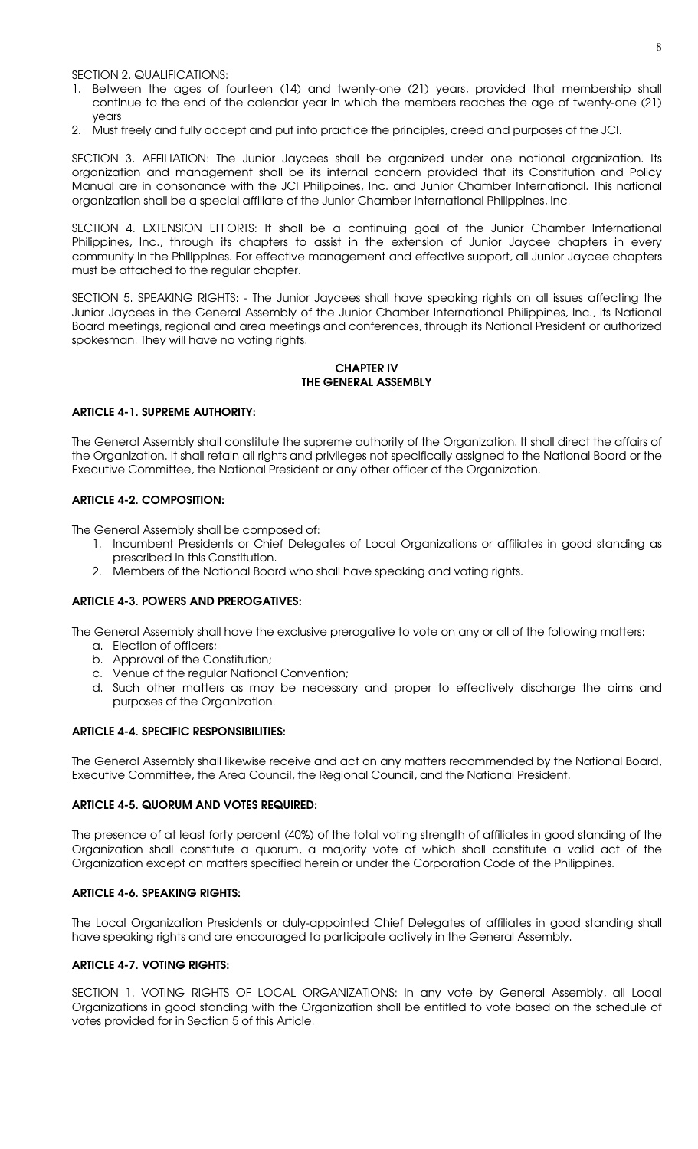SECTION 2. QUALIFICATIONS:

- 1. Between the ages of fourteen (14) and twenty-one (21) years, provided that membership shall continue to the end of the calendar year in which the members reaches the age of twenty-one (21) years
- 2. Must freely and fully accept and put into practice the principles, creed and purposes of the JCI.

SECTION 3. AFFILIATION: The Junior Jaycees shall be organized under one national organization. Its organization and management shall be its internal concern provided that its Constitution and Policy Manual are in consonance with the JCI Philippines, Inc. and Junior Chamber International. This national organization shall be a special affiliate of the Junior Chamber International Philippines, Inc.

SECTION 4. EXTENSION EFFORTS: It shall be a continuing goal of the Junior Chamber International Philippines, Inc., through its chapters to assist in the extension of Junior Jaycee chapters in every community in the Philippines. For effective management and effective support, all Junior Jaycee chapters must be attached to the regular chapter.

SECTION 5. SPEAKING RIGHTS: - The Junior Jaycees shall have speaking rights on all issues affecting the Junior Jaycees in the General Assembly of the Junior Chamber International Philippines, Inc., its National Board meetings, regional and area meetings and conferences, through its National President or authorized spokesman. They will have no voting rights.

#### CHAPTER IV THE GENERAL ASSEMBLY

### ARTICLE 4-1. SUPREME AUTHORITY:

The General Assembly shall constitute the supreme authority of the Organization. It shall direct the affairs of the Organization. It shall retain all rights and privileges not specifically assigned to the National Board or the Executive Committee, the National President or any other officer of the Organization.

# ARTICLE 4-2. COMPOSITION:

The General Assembly shall be composed of:

- 1. Incumbent Presidents or Chief Delegates of Local Organizations or affiliates in good standing as prescribed in this Constitution.
- 2. Members of the National Board who shall have speaking and voting rights.

### ARTICLE 4-3. POWERS AND PREROGATIVES:

The General Assembly shall have the exclusive prerogative to vote on any or all of the following matters:

- a. Election of officers;
- b. Approval of the Constitution;
- c. Venue of the regular National Convention;
- d. Such other matters as may be necessary and proper to effectively discharge the aims and purposes of the Organization.

### ARTICLE 4-4. SPECIFIC RESPONSIBILITIES:

The General Assembly shall likewise receive and act on any matters recommended by the National Board, Executive Committee, the Area Council, the Regional Council, and the National President.

### ARTICLE 4-5. QUORUM AND VOTES REQUIRED:

The presence of at least forty percent (40%) of the total voting strength of affiliates in good standing of the Organization shall constitute a quorum, a majority vote of which shall constitute a valid act of the Organization except on matters specified herein or under the Corporation Code of the Philippines.

### ARTICLE 4-6. SPEAKING RIGHTS:

The Local Organization Presidents or duly-appointed Chief Delegates of affiliates in good standing shall have speaking rights and are encouraged to participate actively in the General Assembly.

### ARTICLE 4-7. VOTING RIGHTS:

SECTION 1. VOTING RIGHTS OF LOCAL ORGANIZATIONS: In any vote by General Assembly, all Local Organizations in good standing with the Organization shall be entitled to vote based on the schedule of votes provided for in Section 5 of this Article.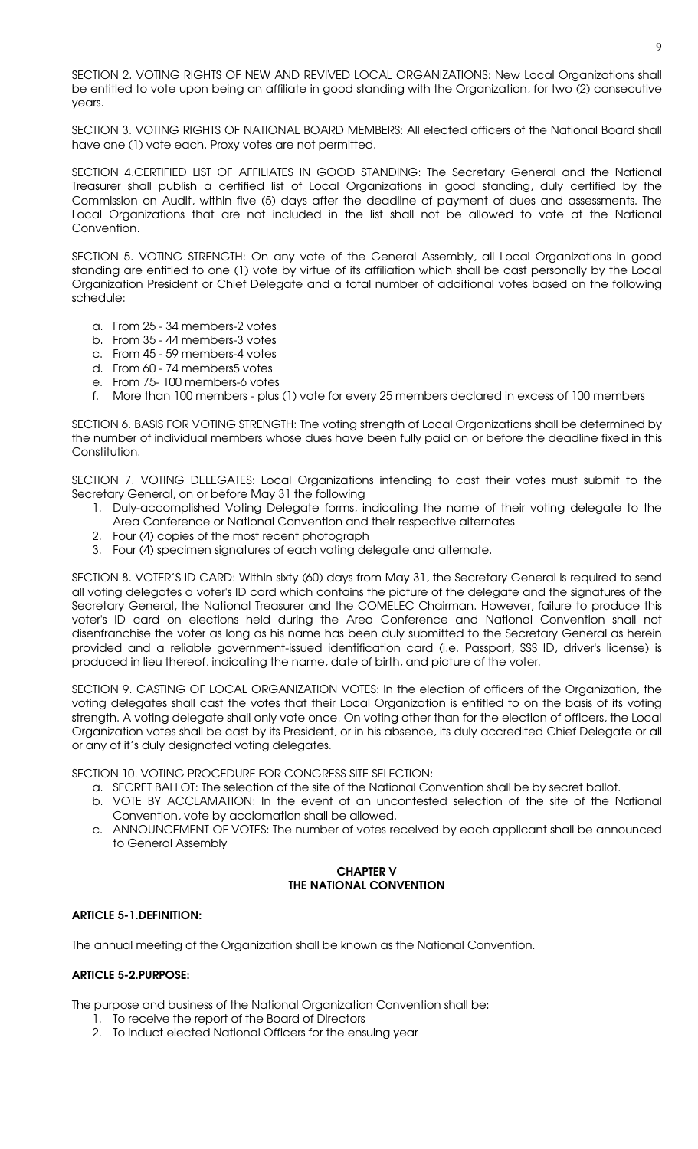SECTION 2. VOTING RIGHTS OF NEW AND REVIVED LOCAL ORGANIZATIONS: New Local Organizations shall be entitled to vote upon being an affiliate in good standing with the Organization, for two (2) consecutive years.

SECTION 3. VOTING RIGHTS OF NATIONAL BOARD MEMBERS: All elected officers of the National Board shall have one (1) vote each. Proxy votes are not permitted.

SECTION 4.CERTIFIED LIST OF AFFILIATES IN GOOD STANDING: The Secretary General and the National Treasurer shall publish a certified list of Local Organizations in good standing, duly certified by the Commission on Audit, within five (5) days after the deadline of payment of dues and assessments. The Local Organizations that are not included in the list shall not be allowed to vote at the National Convention.

SECTION 5. VOTING STRENGTH: On any vote of the General Assembly, all Local Organizations in good standing are entitled to one (1) vote by virtue of its affiliation which shall be cast personally by the Local Organization President or Chief Delegate and a total number of additional votes based on the following schedule:

- a. From 25 34 members-2 votes
- b. From 35 44 members-3 votes
- c. From 45 59 members-4 votes
- d. From 60 74 members5 votes
- e. From 75- 100 members-6 votes
- f. More than 100 members plus (1) vote for every 25 members declared in excess of 100 members

SECTION 6. BASIS FOR VOTING STRENGTH: The voting strength of Local Organizations shall be determined by the number of individual members whose dues have been fully paid on or before the deadline fixed in this Constitution.

SECTION 7. VOTING DELEGATES: Local Organizations intending to cast their votes must submit to the Secretary General, on or before May 31 the following

- 1. Duly-accomplished Voting Delegate forms, indicating the name of their voting delegate to the Area Conference or National Convention and their respective alternates
- 2. Four (4) copies of the most recent photograph
- 3. Four (4) specimen signatures of each voting delegate and alternate.

SECTION 8. VOTER'S ID CARD: Within sixty (60) days from May 31, the Secretary General is required to send all voting delegates a voter's ID card which contains the picture of the delegate and the signatures of the Secretary General, the National Treasurer and the COMELEC Chairman. However, failure to produce this voter's ID card on elections held during the Area Conference and National Convention shall not disenfranchise the voter as long as his name has been duly submitted to the Secretary General as herein provided and a reliable government-issued identification card (i.e. Passport, SSS ID, driver's license) is produced in lieu thereof, indicating the name, date of birth, and picture of the voter.

SECTION 9. CASTING OF LOCAL ORGANIZATION VOTES: In the election of officers of the Organization, the voting delegates shall cast the votes that their Local Organization is entitled to on the basis of its voting strength. A voting delegate shall only vote once. On voting other than for the election of officers, the Local Organization votes shall be cast by its President, or in his absence, its duly accredited Chief Delegate or all or any of it's duly designated voting delegates.

SECTION 10. VOTING PROCEDURE FOR CONGRESS SITE SELECTION:

- a. SECRET BALLOT: The selection of the site of the National Convention shall be by secret ballot.
- b. VOTE BY ACCLAMATION: In the event of an uncontested selection of the site of the National Convention, vote by acclamation shall be allowed.
- c. ANNOUNCEMENT OF VOTES: The number of votes received by each applicant shall be announced to General Assembly

### CHAPTER V THE NATIONAL CONVENTION

### ARTICLE 5-1.DEFINITION:

The annual meeting of the Organization shall be known as the National Convention.

#### ARTICLE 5-2.PURPOSE:

The purpose and business of the National Organization Convention shall be:

- 1. To receive the report of the Board of Directors
- 2. To induct elected National Officers for the ensuing year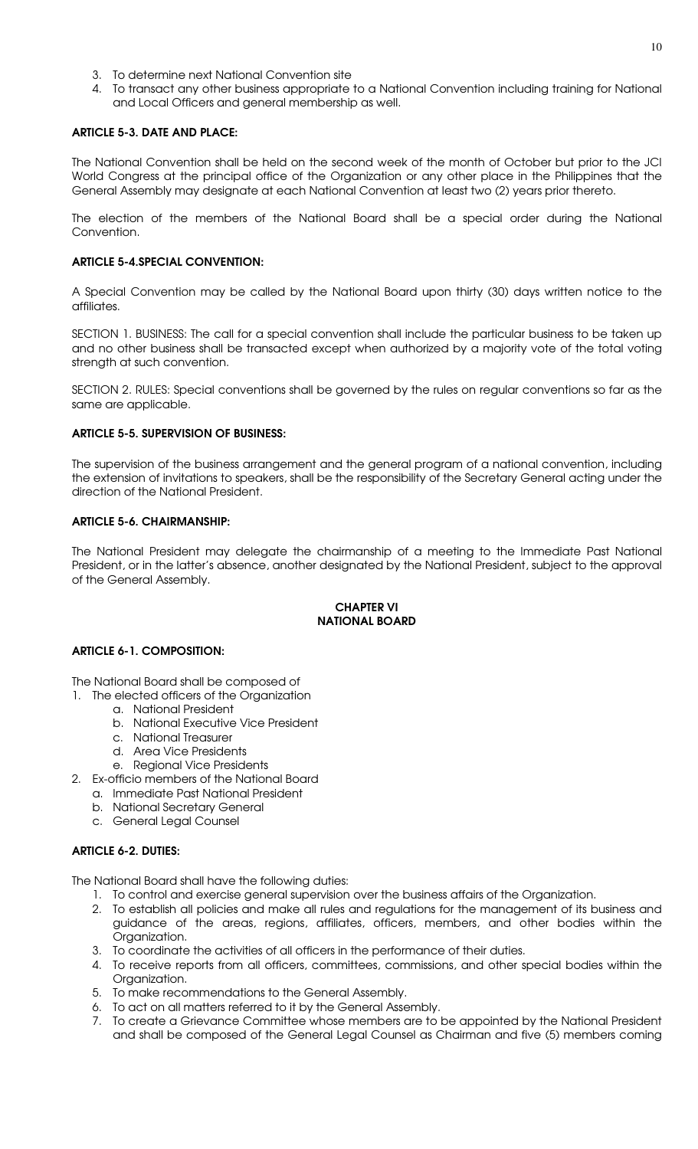- 3. To determine next National Convention site
- 4. To transact any other business appropriate to a National Convention including training for National and Local Officers and general membership as well.

# ARTICLE 5-3. DATE AND PLACE:

The National Convention shall be held on the second week of the month of October but prior to the JCI World Congress at the principal office of the Organization or any other place in the Philippines that the General Assembly may designate at each National Convention at least two (2) years prior thereto.

The election of the members of the National Board shall be a special order during the National Convention.

# ARTICLE 5-4.SPECIAL CONVENTION:

A Special Convention may be called by the National Board upon thirty (30) days written notice to the affiliates.

SECTION 1. BUSINESS: The call for a special convention shall include the particular business to be taken up and no other business shall be transacted except when authorized by a majority vote of the total voting strength at such convention.

SECTION 2. RULES: Special conventions shall be governed by the rules on regular conventions so far as the same are applicable.

### ARTICLE 5-5. SUPERVISION OF BUSINESS:

The supervision of the business arrangement and the general program of a national convention, including the extension of invitations to speakers, shall be the responsibility of the Secretary General acting under the direction of the National President.

# ARTICLE 5-6. CHAIRMANSHIP:

The National President may delegate the chairmanship of a meeting to the Immediate Past National President, or in the latter's absence, another designated by the National President, subject to the approval of the General Assembly.

### CHAPTER VI NATIONAL BOARD

### ARTICLE 6-1. COMPOSITION:

The National Board shall be composed of

- 1. The elected officers of the Organization
	- a. National President
		- b. National Executive Vice President
		- c. National Treasurer
		- d. Area Vice Presidents
		- e. Regional Vice Presidents
- 2. Ex-officio members of the National Board
	- a. Immediate Past National President
	- b. National Secretary General
	- c. General Legal Counsel

# ARTICLE 6-2. DUTIES:

The National Board shall have the following duties:

- 1. To control and exercise general supervision over the business affairs of the Organization.
- 2. To establish all policies and make all rules and regulations for the management of its business and guidance of the areas, regions, affiliates, officers, members, and other bodies within the Organization.
- 3. To coordinate the activities of all officers in the performance of their duties.
- 4. To receive reports from all officers, committees, commissions, and other special bodies within the Organization.
- 5. To make recommendations to the General Assembly.
- 6. To act on all matters referred to it by the General Assembly.
- 7. To create a Grievance Committee whose members are to be appointed by the National President and shall be composed of the General Legal Counsel as Chairman and five (5) members coming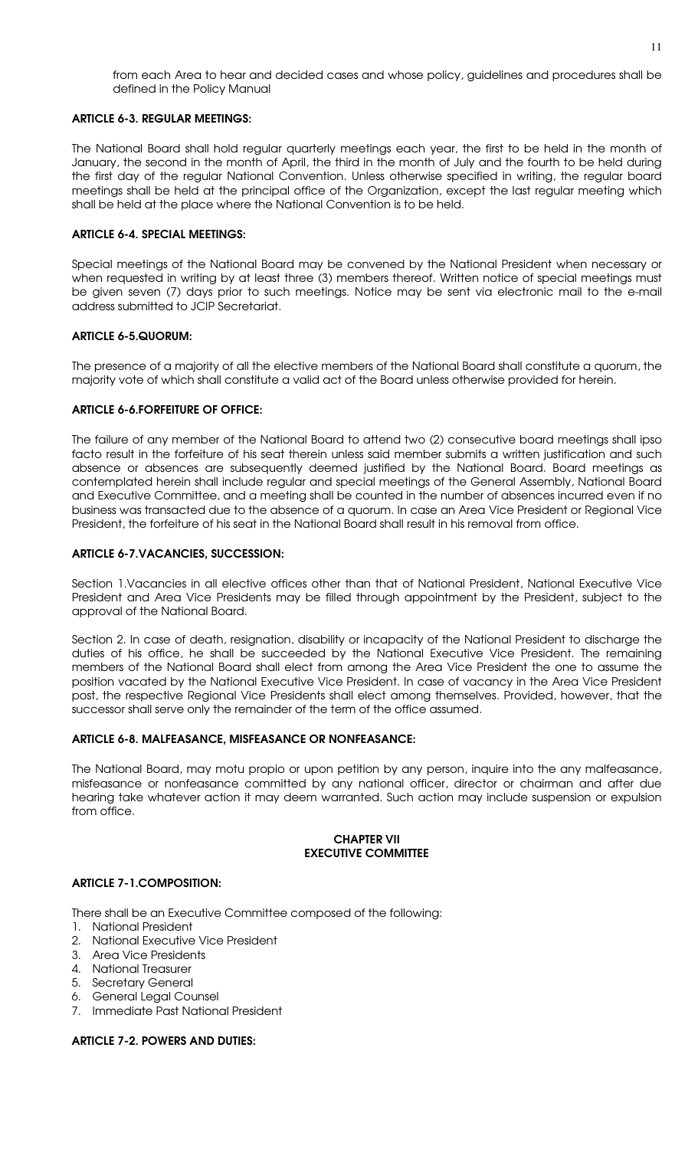from each Area to hear and decided cases and whose policy, guidelines and procedures shall be defined in the Policy Manual

#### ARTICLE 6-3. REGULAR MEETINGS:

The National Board shall hold regular quarterly meetings each year, the first to be held in the month of January, the second in the month of April, the third in the month of July and the fourth to be held during the first day of the regular National Convention. Unless otherwise specified in writing, the regular board meetings shall be held at the principal office of the Organization, except the last regular meeting which shall be held at the place where the National Convention is to be held.

#### ARTICLE 6-4. SPECIAL MEETINGS:

Special meetings of the National Board may be convened by the National President when necessary or when requested in writing by at least three (3) members thereof. Written notice of special meetings must be given seven (7) days prior to such meetings. Notice may be sent via electronic mail to the e-mail address submitted to JCIP Secretariat.

#### ARTICLE 6-5.QUORUM:

The presence of a majority of all the elective members of the National Board shall constitute a quorum, the majority vote of which shall constitute a valid act of the Board unless otherwise provided for herein.

#### ARTICLE 6-6.FORFEITURE OF OFFICE:

The failure of any member of the National Board to attend two (2) consecutive board meetings shall ipso facto result in the forfeiture of his seat therein unless said member submits a written justification and such absence or absences are subsequently deemed justified by the National Board. Board meetings as contemplated herein shall include regular and special meetings of the General Assembly, National Board and Executive Committee, and a meeting shall be counted in the number of absences incurred even if no business was transacted due to the absence of a quorum. In case an Area Vice President or Regional Vice President, the forfeiture of his seat in the National Board shall result in his removal from office.

#### ARTICLE 6-7.VACANCIES, SUCCESSION:

Section 1.Vacancies in all elective offices other than that of National President, National Executive Vice President and Area Vice Presidents may be filled through appointment by the President, subject to the approval of the National Board.

Section 2. In case of death, resignation, disability or incapacity of the National President to discharge the duties of his office, he shall be succeeded by the National Executive Vice President. The remaining members of the National Board shall elect from among the Area Vice President the one to assume the position vacated by the National Executive Vice President. In case of vacancy in the Area Vice President post, the respective Regional Vice Presidents shall elect among themselves. Provided, however, that the successor shall serve only the remainder of the term of the office assumed.

### ARTICLE 6-8. MALFEASANCE, MISFEASANCE OR NONFEASANCE:

The National Board, may motu propio or upon petition by any person, inquire into the any malfeasance, misfeasance or nonfeasance committed by any national officer, director or chairman and after due hearing take whatever action it may deem warranted. Such action may include suspension or expulsion from office.

#### CHAPTER VII EXECUTIVE COMMITTEE

### ARTICLE 7-1.COMPOSITION:

There shall be an Executive Committee composed of the following:

- 1. National President
- 2. National Executive Vice President
- 3. Area Vice Presidents
- 4. National Treasurer
- 5. Secretary General
- 6. General Legal Counsel
- 7. Immediate Past National President

# ARTICLE 7-2. POWERS AND DUTIES: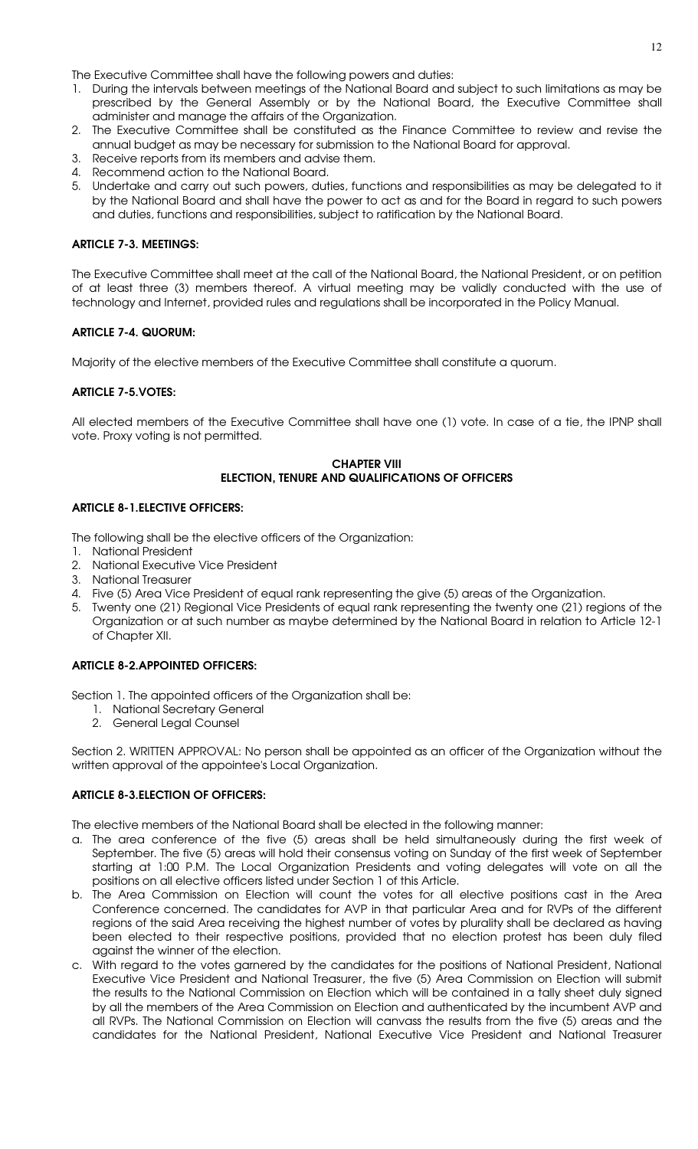The Executive Committee shall have the following powers and duties:

- 1. During the intervals between meetings of the National Board and subject to such limitations as may be prescribed by the General Assembly or by the National Board, the Executive Committee shall administer and manage the affairs of the Organization.
- 2. The Executive Committee shall be constituted as the Finance Committee to review and revise the annual budget as may be necessary for submission to the National Board for approval.
- 3. Receive reports from its members and advise them.
- 4. Recommend action to the National Board.
- 5. Undertake and carry out such powers, duties, functions and responsibilities as may be delegated to it by the National Board and shall have the power to act as and for the Board in regard to such powers and duties, functions and responsibilities, subject to ratification by the National Board.

# ARTICLE 7-3. MEETINGS:

The Executive Committee shall meet at the call of the National Board, the National President, or on petition of at least three (3) members thereof. A virtual meeting may be validly conducted with the use of technology and Internet, provided rules and regulations shall be incorporated in the Policy Manual.

# ARTICLE 7-4. QUORUM:

Majority of the elective members of the Executive Committee shall constitute a quorum.

### ARTICLE 7-5.VOTES:

All elected members of the Executive Committee shall have one (1) vote. In case of a tie, the IPNP shall vote. Proxy voting is not permitted.

#### CHAPTER VIII ELECTION, TENURE AND QUALIFICATIONS OF OFFICERS

### ARTICLE 8-1.ELECTIVE OFFICERS:

The following shall be the elective officers of the Organization:

- 1. National President
- 2. National Executive Vice President
- 3. National Treasurer
- 4. Five (5) Area Vice President of equal rank representing the give (5) areas of the Organization.
- 5. Twenty one (21) Regional Vice Presidents of equal rank representing the twenty one (21) regions of the Organization or at such number as maybe determined by the National Board in relation to Article 12-1 of Chapter XII.

# ARTICLE 8-2.APPOINTED OFFICERS:

Section 1. The appointed officers of the Organization shall be:

- 1. National Secretary General
- 2. General Legal Counsel

Section 2. WRITTEN APPROVAL: No person shall be appointed as an officer of the Organization without the written approval of the appointee's Local Organization.

# ARTICLE 8-3.ELECTION OF OFFICERS:

The elective members of the National Board shall be elected in the following manner:

- a. The area conference of the five (5) areas shall be held simultaneously during the first week of September. The five (5) areas will hold their consensus voting on Sunday of the first week of September starting at 1:00 P.M. The Local Organization Presidents and voting delegates will vote on all the positions on all elective officers listed under Section 1 of this Article.
- b. The Area Commission on Election will count the votes for all elective positions cast in the Area Conference concerned. The candidates for AVP in that particular Area and for RVPs of the different regions of the said Area receiving the highest number of votes by plurality shall be declared as having been elected to their respective positions, provided that no election protest has been duly filed against the winner of the election.
- c. With regard to the votes garnered by the candidates for the positions of National President, National Executive Vice President and National Treasurer, the five (5) Area Commission on Election will submit the results to the National Commission on Election which will be contained in a tally sheet duly signed by all the members of the Area Commission on Election and authenticated by the incumbent AVP and all RVPs. The National Commission on Election will canvass the results from the five (5) areas and the candidates for the National President, National Executive Vice President and National Treasurer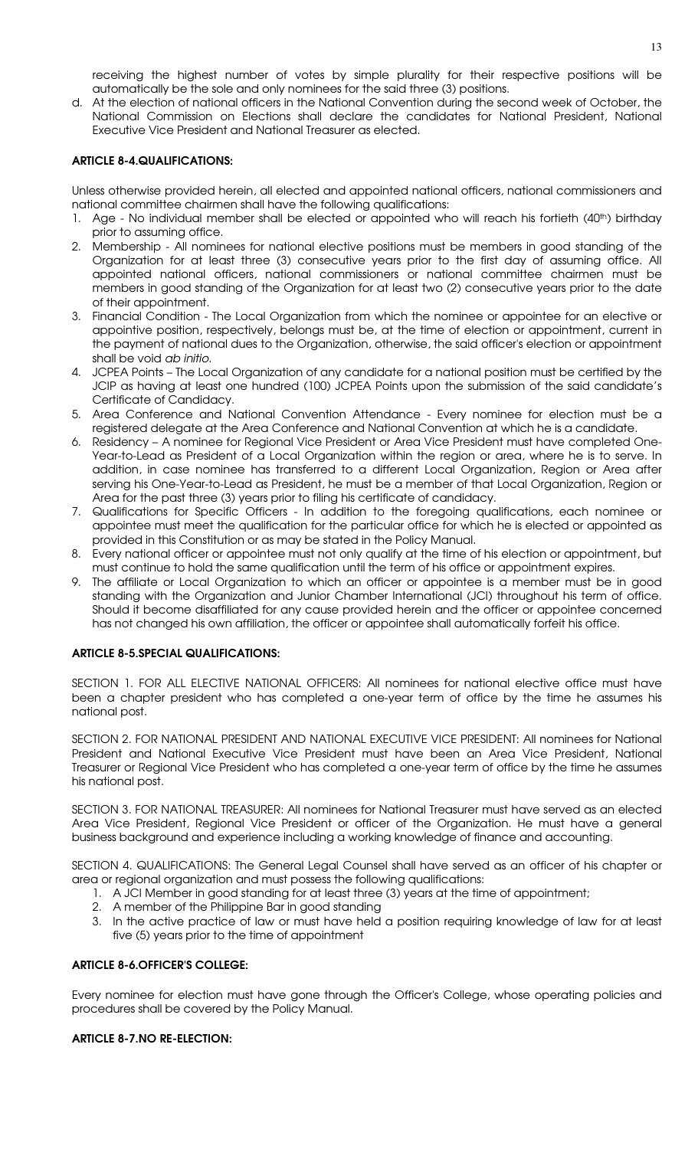receiving the highest number of votes by simple plurality for their respective positions will be automatically be the sole and only nominees for the said three (3) positions.

d. At the election of national officers in the National Convention during the second week of October, the National Commission on Elections shall declare the candidates for National President, National Executive Vice President and National Treasurer as elected.

# ARTICLE 8-4.QUALIFICATIONS:

Unless otherwise provided herein, all elected and appointed national officers, national commissioners and national committee chairmen shall have the following qualifications:

- 1. Age No individual member shall be elected or appointed who will reach his fortieth (40<sup>th</sup>) birthday prior to assuming office.
- 2. Membership All nominees for national elective positions must be members in good standing of the Organization for at least three (3) consecutive years prior to the first day of assuming office. All appointed national officers, national commissioners or national committee chairmen must be members in good standing of the Organization for at least two (2) consecutive years prior to the date of their appointment.
- 3. Financial Condition The Local Organization from which the nominee or appointee for an elective or appointive position, respectively, belongs must be, at the time of election or appointment, current in the payment of national dues to the Organization, otherwise, the said officer's election or appointment shall be void ab initio.
- 4. JCPEA Points The Local Organization of any candidate for a national position must be certified by the JCIP as having at least one hundred (100) JCPEA Points upon the submission of the said candidate's Certificate of Candidacy.
- 5. Area Conference and National Convention Attendance Every nominee for election must be a registered delegate at the Area Conference and National Convention at which he is a candidate.
- 6. Residency A nominee for Regional Vice President or Area Vice President must have completed One-Year-to-Lead as President of a Local Organization within the region or area, where he is to serve. In addition, in case nominee has transferred to a different Local Organization, Region or Area after serving his One-Year-to-Lead as President, he must be a member of that Local Organization, Region or Area for the past three (3) years prior to filing his certificate of candidacy.
- 7. Qualifications for Specific Officers In addition to the foregoing qualifications, each nominee or appointee must meet the qualification for the particular office for which he is elected or appointed as provided in this Constitution or as may be stated in the Policy Manual.
- 8. Every national officer or appointee must not only qualify at the time of his election or appointment, but must continue to hold the same qualification until the term of his office or appointment expires.
- 9. The affiliate or Local Organization to which an officer or appointee is a member must be in good standing with the Organization and Junior Chamber International (JCI) throughout his term of office. Should it become disaffiliated for any cause provided herein and the officer or appointee concerned has not changed his own affiliation, the officer or appointee shall automatically forfeit his office.

### ARTICLE 8-5.SPECIAL QUALIFICATIONS:

SECTION 1. FOR ALL ELECTIVE NATIONAL OFFICERS: All nominees for national elective office must have been a chapter president who has completed a one-year term of office by the time he assumes his national post.

SECTION 2. FOR NATIONAL PRESIDENT AND NATIONAL EXECUTIVE VICE PRESIDENT: All nominees for National President and National Executive Vice President must have been an Area Vice President, National Treasurer or Regional Vice President who has completed a one-year term of office by the time he assumes his national post.

SECTION 3. FOR NATIONAL TREASURER: All nominees for National Treasurer must have served as an elected Area Vice President, Regional Vice President or officer of the Organization. He must have a general business background and experience including a working knowledge of finance and accounting.

SECTION 4. QUALIFICATIONS: The General Legal Counsel shall have served as an officer of his chapter or area or regional organization and must possess the following qualifications:

- 1. A JCI Member in good standing for at least three (3) years at the time of appointment;
- 2. A member of the Philippine Bar in good standing
- 3. In the active practice of law or must have held a position requiring knowledge of law for at least five (5) years prior to the time of appointment

### ARTICLE 8-6.OFFICER'S COLLEGE:

Every nominee for election must have gone through the Officer's College, whose operating policies and procedures shall be covered by the Policy Manual.

# ARTICLE 8-7.NO RE-ELECTION: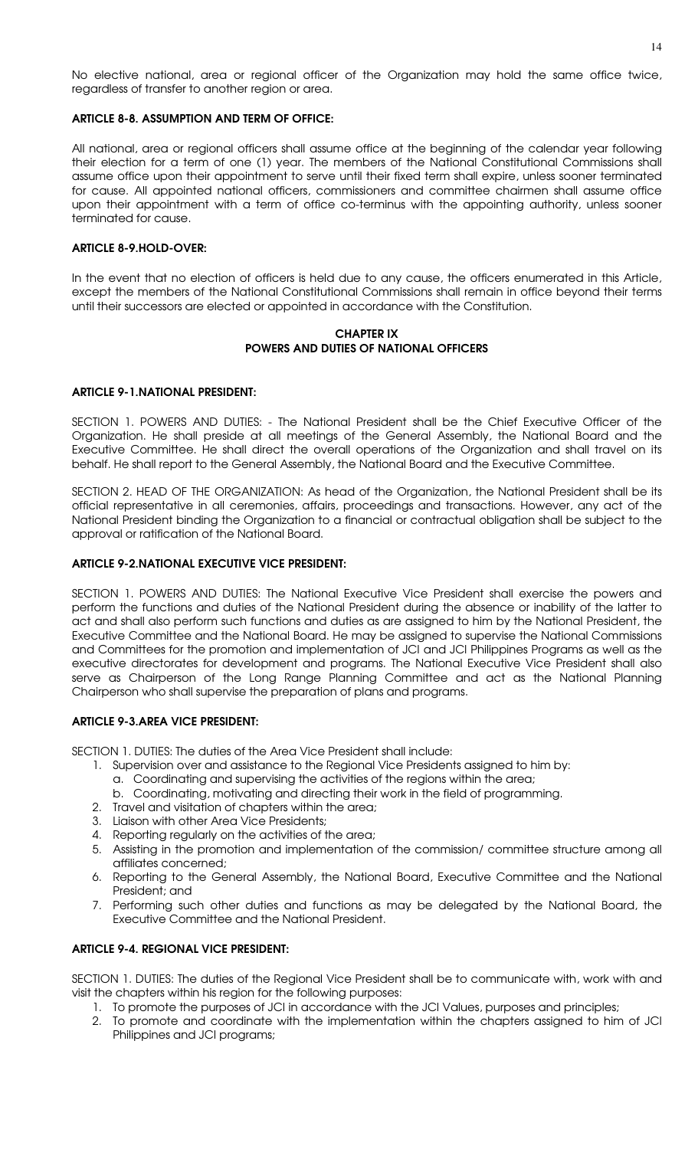No elective national, area or regional officer of the Organization may hold the same office twice, regardless of transfer to another region or area.

#### ARTICLE 8-8. ASSUMPTION AND TERM OF OFFICE:

All national, area or regional officers shall assume office at the beginning of the calendar year following their election for a term of one (1) year. The members of the National Constitutional Commissions shall assume office upon their appointment to serve until their fixed term shall expire, unless sooner terminated for cause. All appointed national officers, commissioners and committee chairmen shall assume office upon their appointment with a term of office co-terminus with the appointing authority, unless sooner terminated for cause.

#### ARTICLE 8-9.HOLD-OVER:

In the event that no election of officers is held due to any cause, the officers enumerated in this Article, except the members of the National Constitutional Commissions shall remain in office beyond their terms until their successors are elected or appointed in accordance with the Constitution.

#### CHAPTER IX POWERS AND DUTIES OF NATIONAL OFFICERS

#### ARTICLE 9-1.NATIONAL PRESIDENT:

SECTION 1. POWERS AND DUTIES: - The National President shall be the Chief Executive Officer of the Organization. He shall preside at all meetings of the General Assembly, the National Board and the Executive Committee. He shall direct the overall operations of the Organization and shall travel on its behalf. He shall report to the General Assembly, the National Board and the Executive Committee.

SECTION 2. HEAD OF THE ORGANIZATION: As head of the Organization, the National President shall be its official representative in all ceremonies, affairs, proceedings and transactions. However, any act of the National President binding the Organization to a financial or contractual obligation shall be subject to the approval or ratification of the National Board.

#### ARTICLE 9-2.NATIONAL EXECUTIVE VICE PRESIDENT:

SECTION 1. POWERS AND DUTIES: The National Executive Vice President shall exercise the powers and perform the functions and duties of the National President during the absence or inability of the latter to act and shall also perform such functions and duties as are assigned to him by the National President, the Executive Committee and the National Board. He may be assigned to supervise the National Commissions and Committees for the promotion and implementation of JCI and JCI Philippines Programs as well as the executive directorates for development and programs. The National Executive Vice President shall also serve as Chairperson of the Long Range Planning Committee and act as the National Planning Chairperson who shall supervise the preparation of plans and programs.

# ARTICLE 9-3.AREA VICE PRESIDENT:

SECTION 1. DUTIES: The duties of the Area Vice President shall include:

- 1. Supervision over and assistance to the Regional Vice Presidents assigned to him by:
	- a. Coordinating and supervising the activities of the regions within the area;
	- b. Coordinating, motivating and directing their work in the field of programming.
- 2. Travel and visitation of chapters within the area;
- 3. Liaison with other Area Vice Presidents;
- 4. Reporting regularly on the activities of the area;
- 5. Assisting in the promotion and implementation of the commission/ committee structure among all affiliates concerned;
- 6. Reporting to the General Assembly, the National Board, Executive Committee and the National President; and
- 7. Performing such other duties and functions as may be delegated by the National Board, the Executive Committee and the National President.

#### ARTICLE 9-4. REGIONAL VICE PRESIDENT:

SECTION 1. DUTIES: The duties of the Regional Vice President shall be to communicate with, work with and visit the chapters within his region for the following purposes:

- 1. To promote the purposes of JCI in accordance with the JCI Values, purposes and principles;
- 2. To promote and coordinate with the implementation within the chapters assigned to him of JCI Philippines and JCI programs;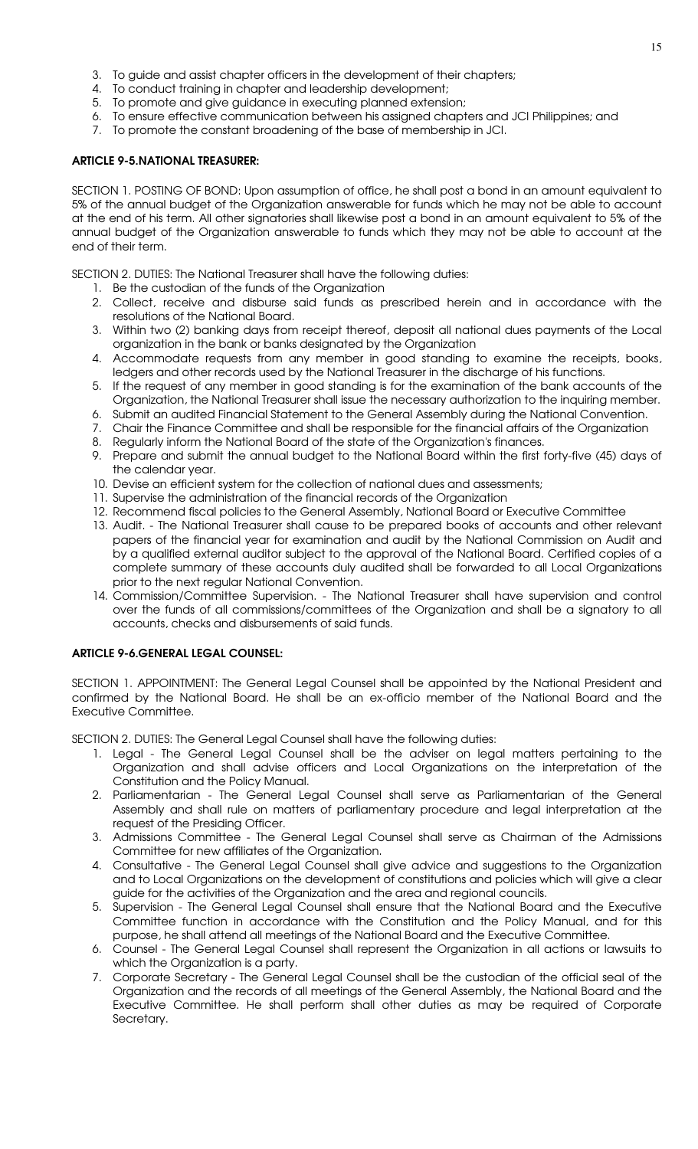- 3. To guide and assist chapter officers in the development of their chapters;
- 4. To conduct training in chapter and leadership development;
- 5. To promote and give guidance in executing planned extension;
- 6. To ensure effective communication between his assigned chapters and JCI Philippines; and
- 7. To promote the constant broadening of the base of membership in JCI.

# ARTICLE 9-5.NATIONAL TREASURER:

SECTION 1. POSTING OF BOND: Upon assumption of office, he shall post a bond in an amount equivalent to 5% of the annual budget of the Organization answerable for funds which he may not be able to account at the end of his term. All other signatories shall likewise post a bond in an amount equivalent to 5% of the annual budget of the Organization answerable to funds which they may not be able to account at the end of their term.

SECTION 2. DUTIES: The National Treasurer shall have the following duties:

- 1. Be the custodian of the funds of the Organization
- 2. Collect, receive and disburse said funds as prescribed herein and in accordance with the resolutions of the National Board.
- 3. Within two (2) banking days from receipt thereof, deposit all national dues payments of the Local organization in the bank or banks designated by the Organization
- 4. Accommodate requests from any member in good standing to examine the receipts, books, ledgers and other records used by the National Treasurer in the discharge of his functions.
- 5. If the request of any member in good standing is for the examination of the bank accounts of the Organization, the National Treasurer shall issue the necessary authorization to the inquiring member.
- 6. Submit an audited Financial Statement to the General Assembly during the National Convention.
- 7. Chair the Finance Committee and shall be responsible for the financial affairs of the Organization
- 8. Regularly inform the National Board of the state of the Organization's finances.
- 9. Prepare and submit the annual budget to the National Board within the first forty-five (45) days of the calendar year.
- 10. Devise an efficient system for the collection of national dues and assessments;
- 11. Supervise the administration of the financial records of the Organization
- 12. Recommend fiscal policies to the General Assembly, National Board or Executive Committee
- 13. Audit. The National Treasurer shall cause to be prepared books of accounts and other relevant papers of the financial year for examination and audit by the National Commission on Audit and by a qualified external auditor subject to the approval of the National Board. Certified copies of a complete summary of these accounts duly audited shall be forwarded to all Local Organizations prior to the next regular National Convention.
- 14. Commission/Committee Supervision. The National Treasurer shall have supervision and control over the funds of all commissions/committees of the Organization and shall be a signatory to all accounts, checks and disbursements of said funds.

# ARTICLE 9-6.GENERAL LEGAL COUNSEL:

SECTION 1. APPOINTMENT: The General Legal Counsel shall be appointed by the National President and confirmed by the National Board. He shall be an ex-officio member of the National Board and the Executive Committee.

SECTION 2. DUTIES: The General Legal Counsel shall have the following duties:

- 1. Legal The General Legal Counsel shall be the adviser on legal matters pertaining to the Organization and shall advise officers and Local Organizations on the interpretation of the Constitution and the Policy Manual.
- 2. Parliamentarian The General Legal Counsel shall serve as Parliamentarian of the General Assembly and shall rule on matters of parliamentary procedure and legal interpretation at the request of the Presiding Officer.
- 3. Admissions Committee The General Legal Counsel shall serve as Chairman of the Admissions Committee for new affiliates of the Organization.
- 4. Consultative The General Legal Counsel shall give advice and suggestions to the Organization and to Local Organizations on the development of constitutions and policies which will give a clear guide for the activities of the Organization and the area and regional councils.
- 5. Supervision The General Legal Counsel shall ensure that the National Board and the Executive Committee function in accordance with the Constitution and the Policy Manual, and for this purpose, he shall attend all meetings of the National Board and the Executive Committee.
- 6. Counsel The General Legal Counsel shall represent the Organization in all actions or lawsuits to which the Organization is a party.
- 7. Corporate Secretary The General Legal Counsel shall be the custodian of the official seal of the Organization and the records of all meetings of the General Assembly, the National Board and the Executive Committee. He shall perform shall other duties as may be required of Corporate Secretary.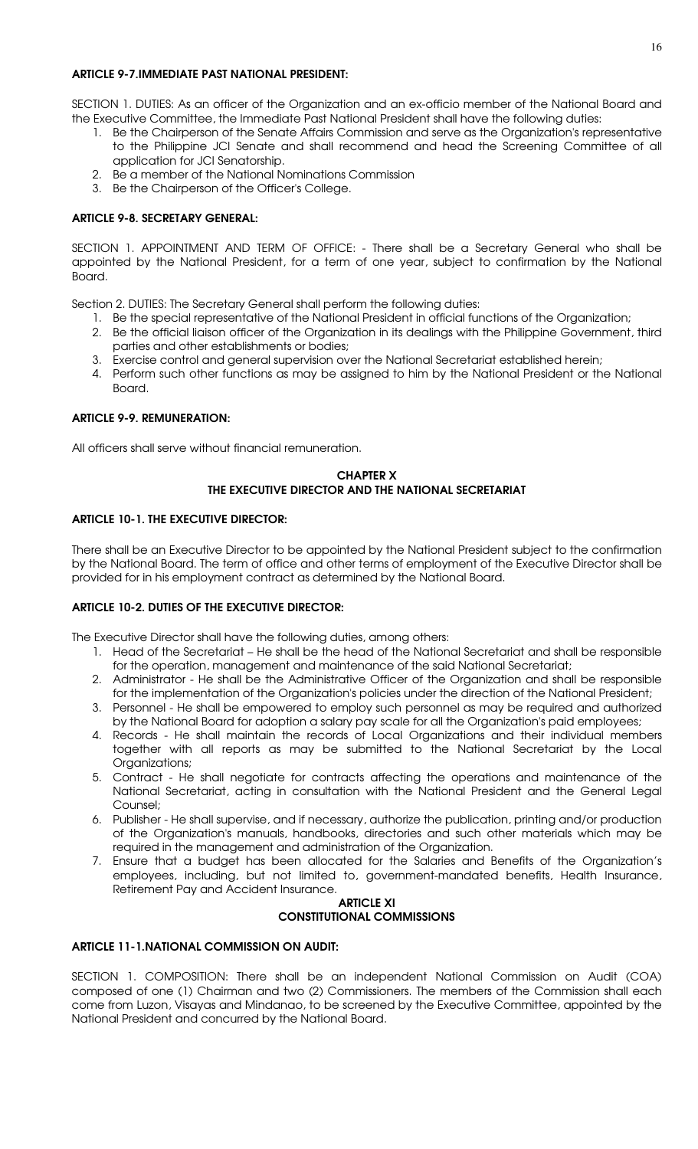# ARTICLE 9-7.IMMEDIATE PAST NATIONAL PRESIDENT:

SECTION 1. DUTIES: As an officer of the Organization and an ex-officio member of the National Board and the Executive Committee, the Immediate Past National President shall have the following duties:

- 1. Be the Chairperson of the Senate Affairs Commission and serve as the Organization's representative to the Philippine JCI Senate and shall recommend and head the Screening Committee of all application for JCI Senatorship.
- 2. Be a member of the National Nominations Commission
- 3. Be the Chairperson of the Officer's College.

# ARTICLE 9-8. SECRETARY GENERAL:

SECTION 1. APPOINTMENT AND TERM OF OFFICE: - There shall be a Secretary General who shall be appointed by the National President, for a term of one year, subject to confirmation by the National Board.

Section 2. DUTIES: The Secretary General shall perform the following duties:

- 1. Be the special representative of the National President in official functions of the Organization;
- 2. Be the official liaison officer of the Organization in its dealings with the Philippine Government, third parties and other establishments or bodies;
- 3. Exercise control and general supervision over the National Secretariat established herein;
- 4. Perform such other functions as may be assigned to him by the National President or the National Board.

# ARTICLE 9-9. REMUNERATION:

All officers shall serve without financial remuneration.

# CHAPTER X THE EXECUTIVE DIRECTOR AND THE NATIONAL SECRETARIAT

# ARTICLE 10-1. THE EXECUTIVE DIRECTOR:

There shall be an Executive Director to be appointed by the National President subject to the confirmation by the National Board. The term of office and other terms of employment of the Executive Director shall be provided for in his employment contract as determined by the National Board.

# ARTICLE 10-2. DUTIES OF THE EXECUTIVE DIRECTOR:

The Executive Director shall have the following duties, among others:

- 1. Head of the Secretariat He shall be the head of the National Secretariat and shall be responsible for the operation, management and maintenance of the said National Secretariat;
- 2. Administrator He shall be the Administrative Officer of the Organization and shall be responsible for the implementation of the Organization's policies under the direction of the National President;
- 3. Personnel He shall be empowered to employ such personnel as may be required and authorized by the National Board for adoption a salary pay scale for all the Organization's paid employees;
- 4. Records He shall maintain the records of Local Organizations and their individual members together with all reports as may be submitted to the National Secretariat by the Local Organizations;
- 5. Contract He shall negotiate for contracts affecting the operations and maintenance of the National Secretariat, acting in consultation with the National President and the General Legal Counsel;
- 6. Publisher He shall supervise, and if necessary, authorize the publication, printing and/or production of the Organization's manuals, handbooks, directories and such other materials which may be required in the management and administration of the Organization.
- 7. Ensure that a budget has been allocated for the Salaries and Benefits of the Organization's employees, including, but not limited to, government-mandated benefits, Health Insurance, Retirement Pay and Accident Insurance.

#### ARTICLE XI CONSTITUTIONAL COMMISSIONS

# ARTICLE 11-1.NATIONAL COMMISSION ON AUDIT:

SECTION 1. COMPOSITION: There shall be an independent National Commission on Audit (COA) composed of one (1) Chairman and two (2) Commissioners. The members of the Commission shall each come from Luzon, Visayas and Mindanao, to be screened by the Executive Committee, appointed by the National President and concurred by the National Board.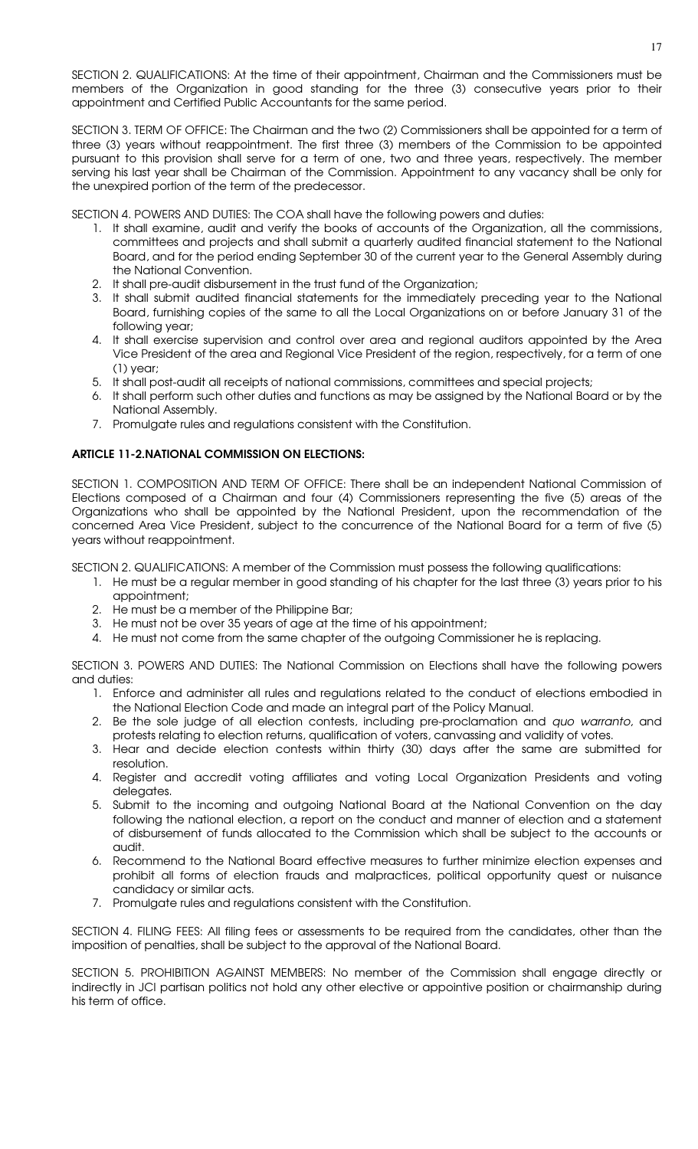SECTION 2. QUALIFICATIONS: At the time of their appointment, Chairman and the Commissioners must be members of the Organization in good standing for the three (3) consecutive years prior to their appointment and Certified Public Accountants for the same period.

SECTION 3. TERM OF OFFICE: The Chairman and the two (2) Commissioners shall be appointed for a term of three (3) years without reappointment. The first three (3) members of the Commission to be appointed pursuant to this provision shall serve for a term of one, two and three years, respectively. The member serving his last year shall be Chairman of the Commission. Appointment to any vacancy shall be only for the unexpired portion of the term of the predecessor.

SECTION 4. POWERS AND DUTIES: The COA shall have the following powers and duties:

- 1. It shall examine, audit and verify the books of accounts of the Organization, all the commissions, committees and projects and shall submit a quarterly audited financial statement to the National Board, and for the period ending September 30 of the current year to the General Assembly during the National Convention.
- 2. It shall pre-audit disbursement in the trust fund of the Organization;
- 3. It shall submit audited financial statements for the immediately preceding year to the National Board, furnishing copies of the same to all the Local Organizations on or before January 31 of the following year;
- 4. It shall exercise supervision and control over area and regional auditors appointed by the Area Vice President of the area and Regional Vice President of the region, respectively, for a term of one (1) year;
- 5. It shall post-audit all receipts of national commissions, committees and special projects;
- 6. It shall perform such other duties and functions as may be assigned by the National Board or by the National Assembly.
- 7. Promulgate rules and regulations consistent with the Constitution.

#### ARTICLE 11-2.NATIONAL COMMISSION ON ELECTIONS:

SECTION 1. COMPOSITION AND TERM OF OFFICE: There shall be an independent National Commission of Elections composed of a Chairman and four (4) Commissioners representing the five (5) areas of the Organizations who shall be appointed by the National President, upon the recommendation of the concerned Area Vice President, subject to the concurrence of the National Board for a term of five (5) years without reappointment.

SECTION 2. QUALIFICATIONS: A member of the Commission must possess the following qualifications:

- 1. He must be a regular member in good standing of his chapter for the last three (3) years prior to his appointment;
- 2. He must be a member of the Philippine Bar;
- 3. He must not be over 35 years of age at the time of his appointment;
- 4. He must not come from the same chapter of the outgoing Commissioner he is replacing.

SECTION 3. POWERS AND DUTIES: The National Commission on Elections shall have the following powers and duties:

- 1. Enforce and administer all rules and regulations related to the conduct of elections embodied in the National Election Code and made an integral part of the Policy Manual.
- 2. Be the sole judge of all election contests, including pre-proclamation and quo warranto, and protests relating to election returns, qualification of voters, canvassing and validity of votes.
- 3. Hear and decide election contests within thirty (30) days after the same are submitted for resolution.
- 4. Register and accredit voting affiliates and voting Local Organization Presidents and voting delegates.
- 5. Submit to the incoming and outgoing National Board at the National Convention on the day following the national election, a report on the conduct and manner of election and a statement of disbursement of funds allocated to the Commission which shall be subject to the accounts or audit.
- 6. Recommend to the National Board effective measures to further minimize election expenses and prohibit all forms of election frauds and malpractices, political opportunity quest or nuisance candidacy or similar acts.
- 7. Promulgate rules and regulations consistent with the Constitution.

SECTION 4. FILING FEES: All filing fees or assessments to be required from the candidates, other than the imposition of penalties, shall be subject to the approval of the National Board.

SECTION 5. PROHIBITION AGAINST MEMBERS: No member of the Commission shall engage directly or indirectly in JCI partisan politics not hold any other elective or appointive position or chairmanship during his term of office.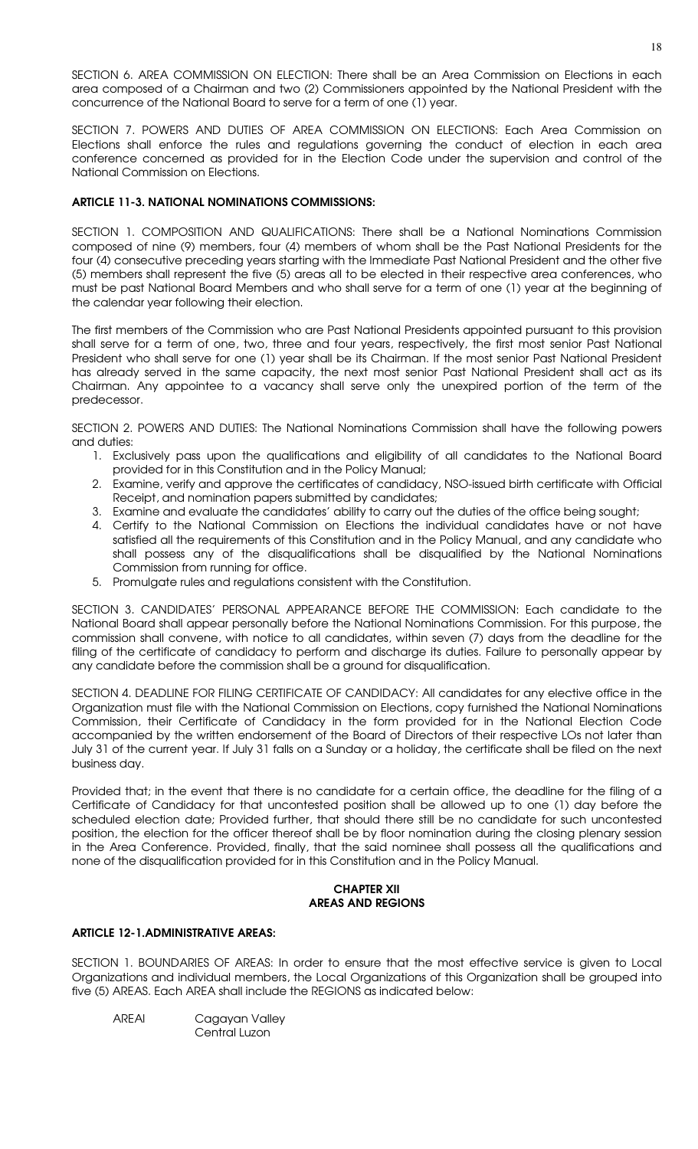SECTION 6. AREA COMMISSION ON ELECTION: There shall be an Area Commission on Elections in each area composed of a Chairman and two (2) Commissioners appointed by the National President with the concurrence of the National Board to serve for a term of one (1) year.

SECTION 7. POWERS AND DUTIES OF AREA COMMISSION ON ELECTIONS: Each Area Commission on Elections shall enforce the rules and regulations governing the conduct of election in each area conference concerned as provided for in the Election Code under the supervision and control of the National Commission on Elections.

# ARTICLE 11-3. NATIONAL NOMINATIONS COMMISSIONS:

SECTION 1. COMPOSITION AND QUALIFICATIONS: There shall be a National Nominations Commission composed of nine (9) members, four (4) members of whom shall be the Past National Presidents for the four (4) consecutive preceding years starting with the Immediate Past National President and the other five (5) members shall represent the five (5) areas all to be elected in their respective area conferences, who must be past National Board Members and who shall serve for a term of one (1) year at the beginning of the calendar year following their election.

The first members of the Commission who are Past National Presidents appointed pursuant to this provision shall serve for a term of one, two, three and four years, respectively, the first most senior Past National President who shall serve for one (1) year shall be its Chairman. If the most senior Past National President has already served in the same capacity, the next most senior Past National President shall act as its Chairman. Any appointee to a vacancy shall serve only the unexpired portion of the term of the predecessor.

SECTION 2. POWERS AND DUTIES: The National Nominations Commission shall have the following powers and duties:

- 1. Exclusively pass upon the qualifications and eligibility of all candidates to the National Board provided for in this Constitution and in the Policy Manual;
- 2. Examine, verify and approve the certificates of candidacy, NSO-issued birth certificate with Official Receipt, and nomination papers submitted by candidates;
- 3. Examine and evaluate the candidates' ability to carry out the duties of the office being sought;
- 4. Certify to the National Commission on Elections the individual candidates have or not have satisfied all the requirements of this Constitution and in the Policy Manual, and any candidate who shall possess any of the disqualifications shall be disqualified by the National Nominations Commission from running for office.
- 5. Promulgate rules and regulations consistent with the Constitution.

SECTION 3. CANDIDATES' PERSONAL APPEARANCE BEFORE THE COMMISSION: Each candidate to the National Board shall appear personally before the National Nominations Commission. For this purpose, the commission shall convene, with notice to all candidates, within seven (7) days from the deadline for the filing of the certificate of candidacy to perform and discharge its duties. Failure to personally appear by any candidate before the commission shall be a ground for disqualification.

SECTION 4. DEADLINE FOR FILING CERTIFICATE OF CANDIDACY: All candidates for any elective office in the Organization must file with the National Commission on Elections, copy furnished the National Nominations Commission, their Certificate of Candidacy in the form provided for in the National Election Code accompanied by the written endorsement of the Board of Directors of their respective LOs not later than July 31 of the current year. If July 31 falls on a Sunday or a holiday, the certificate shall be filed on the next business day.

Provided that; in the event that there is no candidate for a certain office, the deadline for the filing of a Certificate of Candidacy for that uncontested position shall be allowed up to one (1) day before the scheduled election date; Provided further, that should there still be no candidate for such uncontested position, the election for the officer thereof shall be by floor nomination during the closing plenary session in the Area Conference. Provided, finally, that the said nominee shall possess all the qualifications and none of the disqualification provided for in this Constitution and in the Policy Manual.

### CHAPTER XII AREAS AND REGIONS

### ARTICLE 12-1.ADMINISTRATIVE AREAS:

SECTION 1. BOUNDARIES OF AREAS: In order to ensure that the most effective service is given to Local Organizations and individual members, the Local Organizations of this Organization shall be grouped into five (5) AREAS. Each AREA shall include the REGIONS as indicated below:

AREAI Cagayan Valley Central Luzon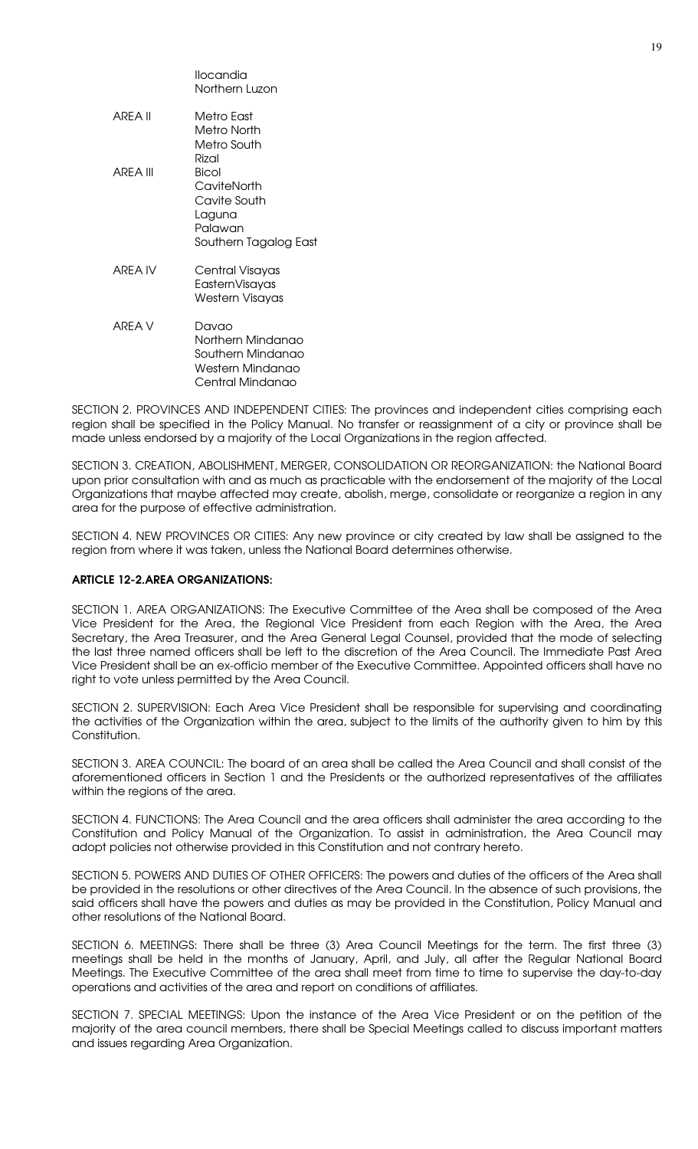|          | llocandia<br>Northern Luzon                                                             |
|----------|-----------------------------------------------------------------------------------------|
| ARFA II  | Metro East<br>Metro North<br>Metro South<br>Rizal                                       |
| ARFA III | Bicol<br>CaviteNorth<br>Cavite South<br>Laguna<br>Palawan<br>Southern Tagalog East      |
| ARFA IV  | Central Visayas<br>EasternVisayas<br>Western Visayas                                    |
| ARFA V   | Davao<br>Northern Mindanao<br>Southern Mindanao<br>Western Mindanao<br>Central Mindanao |

SECTION 2. PROVINCES AND INDEPENDENT CITIES: The provinces and independent cities comprising each region shall be specified in the Policy Manual. No transfer or reassignment of a city or province shall be made unless endorsed by a majority of the Local Organizations in the region affected.

SECTION 3. CREATION, ABOLISHMENT, MERGER, CONSOLIDATION OR REORGANIZATION: the National Board upon prior consultation with and as much as practicable with the endorsement of the majority of the Local Organizations that maybe affected may create, abolish, merge, consolidate or reorganize a region in any area for the purpose of effective administration.

SECTION 4. NEW PROVINCES OR CITIES: Any new province or city created by law shall be assigned to the region from where it was taken, unless the National Board determines otherwise.

#### ARTICLE 12-2.AREA ORGANIZATIONS:

SECTION 1. AREA ORGANIZATIONS: The Executive Committee of the Area shall be composed of the Area Vice President for the Area, the Regional Vice President from each Region with the Area, the Area Secretary, the Area Treasurer, and the Area General Legal Counsel, provided that the mode of selecting the last three named officers shall be left to the discretion of the Area Council. The Immediate Past Area Vice President shall be an ex-officio member of the Executive Committee. Appointed officers shall have no right to vote unless permitted by the Area Council.

SECTION 2. SUPERVISION: Each Area Vice President shall be responsible for supervising and coordinating the activities of the Organization within the area, subject to the limits of the authority given to him by this Constitution.

SECTION 3. AREA COUNCIL: The board of an area shall be called the Area Council and shall consist of the aforementioned officers in Section 1 and the Presidents or the authorized representatives of the affiliates within the regions of the area.

SECTION 4. FUNCTIONS: The Area Council and the area officers shall administer the area according to the Constitution and Policy Manual of the Organization. To assist in administration, the Area Council may adopt policies not otherwise provided in this Constitution and not contrary hereto.

SECTION 5. POWERS AND DUTIES OF OTHER OFFICERS: The powers and duties of the officers of the Area shall be provided in the resolutions or other directives of the Area Council. In the absence of such provisions, the said officers shall have the powers and duties as may be provided in the Constitution, Policy Manual and other resolutions of the National Board.

SECTION 6. MEETINGS: There shall be three (3) Area Council Meetings for the term. The first three (3) meetings shall be held in the months of January, April, and July, all after the Regular National Board Meetings. The Executive Committee of the area shall meet from time to time to supervise the day-to-day operations and activities of the area and report on conditions of affiliates.

SECTION 7. SPECIAL MEETINGS: Upon the instance of the Area Vice President or on the petition of the majority of the area council members, there shall be Special Meetings called to discuss important matters and issues regarding Area Organization.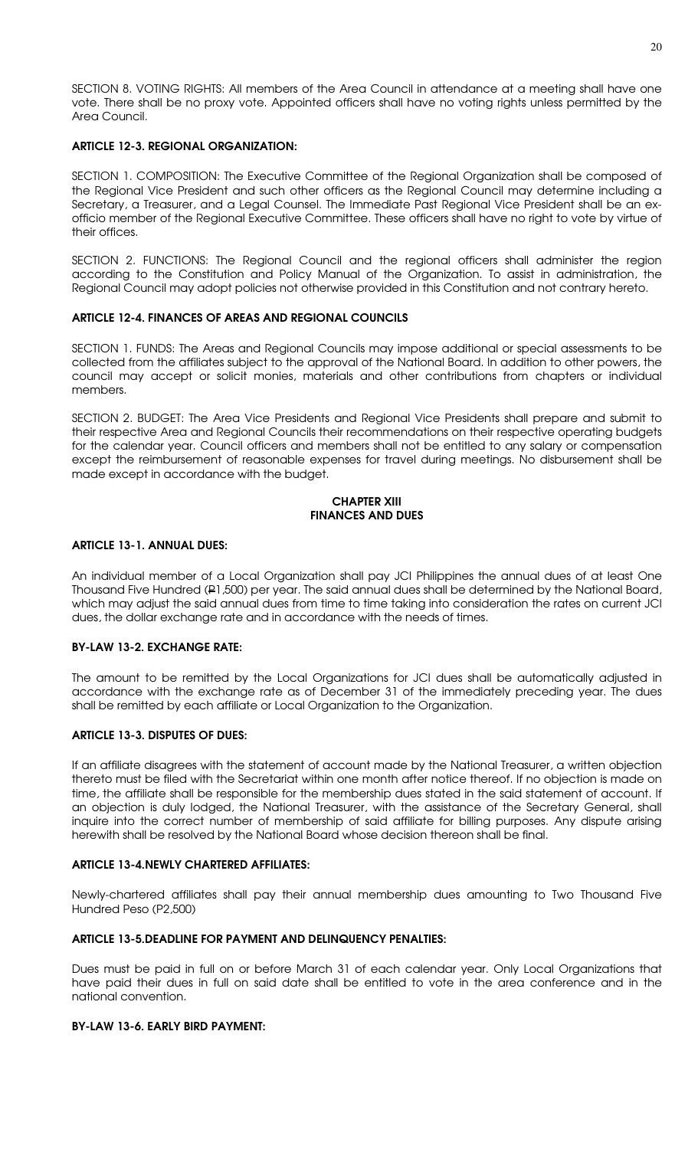SECTION 8. VOTING RIGHTS: All members of the Area Council in attendance at a meeting shall have one vote. There shall be no proxy vote. Appointed officers shall have no voting rights unless permitted by the Area Council.

### ARTICLE 12-3. REGIONAL ORGANIZATION:

SECTION 1. COMPOSITION: The Executive Committee of the Regional Organization shall be composed of the Regional Vice President and such other officers as the Regional Council may determine including a Secretary, a Treasurer, and a Legal Counsel. The Immediate Past Regional Vice President shall be an exofficio member of the Regional Executive Committee. These officers shall have no right to vote by virtue of their offices.

SECTION 2. FUNCTIONS: The Regional Council and the regional officers shall administer the region according to the Constitution and Policy Manual of the Organization. To assist in administration, the Regional Council may adopt policies not otherwise provided in this Constitution and not contrary hereto.

#### ARTICLE 12-4. FINANCES OF AREAS AND REGIONAL COUNCILS

SECTION 1. FUNDS: The Areas and Regional Councils may impose additional or special assessments to be collected from the affiliates subject to the approval of the National Board. In addition to other powers, the council may accept or solicit monies, materials and other contributions from chapters or individual members.

SECTION 2. BUDGET: The Area Vice Presidents and Regional Vice Presidents shall prepare and submit to their respective Area and Regional Councils their recommendations on their respective operating budgets for the calendar year. Council officers and members shall not be entitled to any salary or compensation except the reimbursement of reasonable expenses for travel during meetings. No disbursement shall be made except in accordance with the budget.

#### CHAPTER XIII FINANCES AND DUES

#### ARTICLE 13-1. ANNUAL DUES:

An individual member of a Local Organization shall pay JCI Philippines the annual dues of at least One Thousand Five Hundred (P1,500) per year. The said annual dues shall be determined by the National Board, which may adjust the said annual dues from time to time taking into consideration the rates on current JCI dues, the dollar exchange rate and in accordance with the needs of times.

#### BY-LAW 13-2. EXCHANGE RATE:

The amount to be remitted by the Local Organizations for JCI dues shall be automatically adjusted in accordance with the exchange rate as of December 31 of the immediately preceding year. The dues shall be remitted by each affiliate or Local Organization to the Organization.

### ARTICLE 13-3. DISPUTES OF DUES:

If an affiliate disagrees with the statement of account made by the National Treasurer, a written objection thereto must be filed with the Secretariat within one month after notice thereof. If no objection is made on time, the affiliate shall be responsible for the membership dues stated in the said statement of account. If an objection is duly lodged, the National Treasurer, with the assistance of the Secretary General, shall inquire into the correct number of membership of said affiliate for billing purposes. Any dispute arising herewith shall be resolved by the National Board whose decision thereon shall be final.

#### ARTICLE 13-4.NEWLY CHARTERED AFFILIATES:

Newly-chartered affiliates shall pay their annual membership dues amounting to Two Thousand Five Hundred Peso (P2,500)

#### ARTICLE 13-5.DEADLINE FOR PAYMENT AND DELINQUENCY PENALTIES:

Dues must be paid in full on or before March 31 of each calendar year. Only Local Organizations that have paid their dues in full on said date shall be entitled to vote in the area conference and in the national convention.

#### BY-LAW 13-6. EARLY BIRD PAYMENT: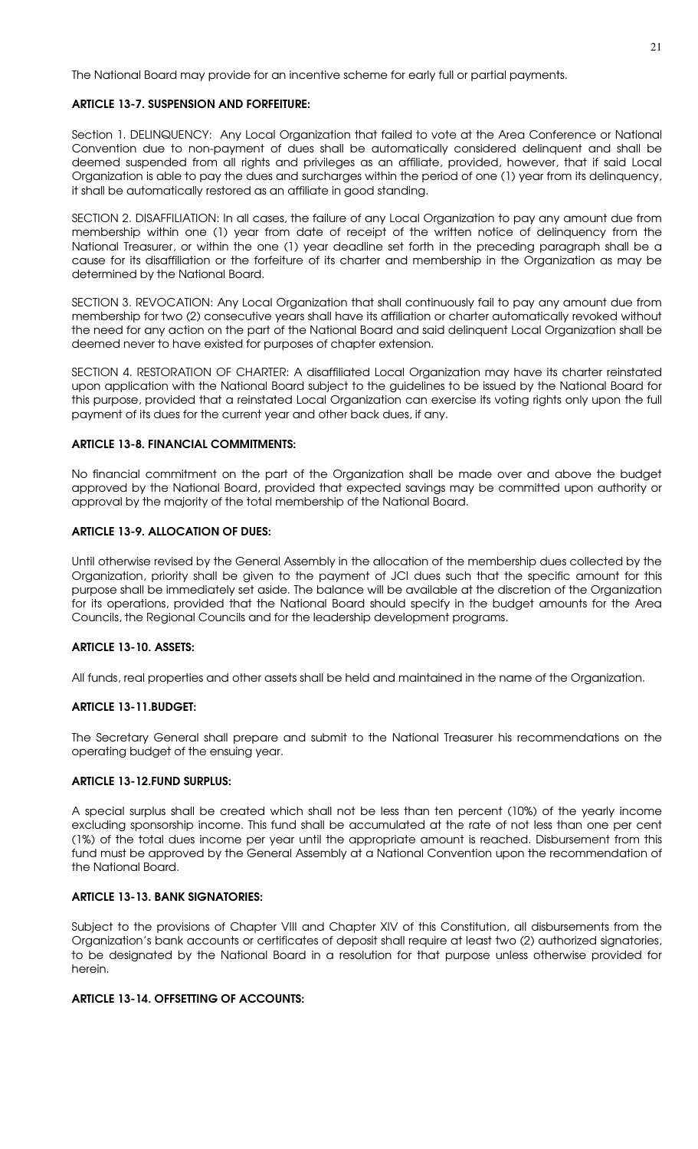The National Board may provide for an incentive scheme for early full or partial payments.

# ARTICLE 13-7. SUSPENSION AND FORFEITURE:

Section 1. DELINQUENCY: Any Local Organization that failed to vote at the Area Conference or National Convention due to non-payment of dues shall be automatically considered delinquent and shall be deemed suspended from all rights and privileges as an affiliate, provided, however, that if said Local Organization is able to pay the dues and surcharges within the period of one (1) year from its delinquency, it shall be automatically restored as an affiliate in good standing.

SECTION 2. DISAFFILIATION: In all cases, the failure of any Local Organization to pay any amount due from membership within one (1) year from date of receipt of the written notice of delinquency from the National Treasurer, or within the one (1) year deadline set forth in the preceding paragraph shall be a cause for its disaffiliation or the forfeiture of its charter and membership in the Organization as may be determined by the National Board.

SECTION 3. REVOCATION: Any Local Organization that shall continuously fail to pay any amount due from membership for two (2) consecutive years shall have its affiliation or charter automatically revoked without the need for any action on the part of the National Board and said delinquent Local Organization shall be deemed never to have existed for purposes of chapter extension.

SECTION 4. RESTORATION OF CHARTER: A disaffiliated Local Organization may have its charter reinstated upon application with the National Board subject to the guidelines to be issued by the National Board for this purpose, provided that a reinstated Local Organization can exercise its voting rights only upon the full payment of its dues for the current year and other back dues, if any.

### ARTICLE 13-8. FINANCIAL COMMITMENTS:

No financial commitment on the part of the Organization shall be made over and above the budget approved by the National Board, provided that expected savings may be committed upon authority or approval by the majority of the total membership of the National Board.

# ARTICLE 13-9. ALLOCATION OF DUES:

Until otherwise revised by the General Assembly in the allocation of the membership dues collected by the Organization, priority shall be given to the payment of JCI dues such that the specific amount for this purpose shall be immediately set aside. The balance will be available at the discretion of the Organization for its operations, provided that the National Board should specify in the budget amounts for the Area Councils, the Regional Councils and for the leadership development programs.

### ARTICLE 13-10. ASSETS:

All funds, real properties and other assets shall be held and maintained in the name of the Organization.

# ARTICLE 13-11.BUDGET:

The Secretary General shall prepare and submit to the National Treasurer his recommendations on the operating budget of the ensuing year.

### ARTICLE 13-12.FUND SURPLUS:

A special surplus shall be created which shall not be less than ten percent (10%) of the yearly income excluding sponsorship income. This fund shall be accumulated at the rate of not less than one per cent (1%) of the total dues income per year until the appropriate amount is reached. Disbursement from this fund must be approved by the General Assembly at a National Convention upon the recommendation of the National Board.

# ARTICLE 13-13. BANK SIGNATORIES:

Subject to the provisions of Chapter VIII and Chapter XIV of this Constitution, all disbursements from the Organization's bank accounts or certificates of deposit shall require at least two (2) authorized signatories, to be designated by the National Board in a resolution for that purpose unless otherwise provided for herein.

# ARTICLE 13-14. OFFSETTING OF ACCOUNTS: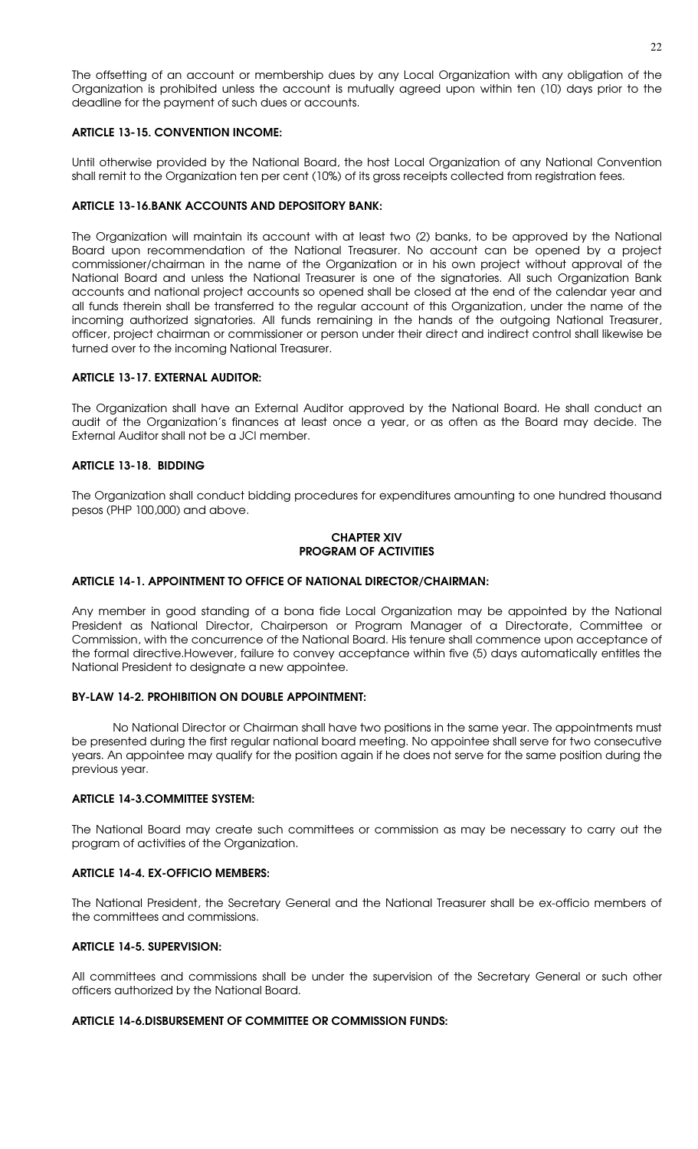The offsetting of an account or membership dues by any Local Organization with any obligation of the Organization is prohibited unless the account is mutually agreed upon within ten (10) days prior to the deadline for the payment of such dues or accounts.

# ARTICLE 13-15. CONVENTION INCOME:

Until otherwise provided by the National Board, the host Local Organization of any National Convention shall remit to the Organization ten per cent (10%) of its gross receipts collected from registration fees.

# ARTICLE 13-16.BANK ACCOUNTS AND DEPOSITORY BANK:

The Organization will maintain its account with at least two (2) banks, to be approved by the National Board upon recommendation of the National Treasurer. No account can be opened by a project commissioner/chairman in the name of the Organization or in his own project without approval of the National Board and unless the National Treasurer is one of the signatories. All such Organization Bank accounts and national project accounts so opened shall be closed at the end of the calendar year and all funds therein shall be transferred to the regular account of this Organization, under the name of the incoming authorized signatories. All funds remaining in the hands of the outgoing National Treasurer, officer, project chairman or commissioner or person under their direct and indirect control shall likewise be turned over to the incoming National Treasurer.

### ARTICLE 13-17. EXTERNAL AUDITOR:

The Organization shall have an External Auditor approved by the National Board. He shall conduct an audit of the Organization's finances at least once a year, or as often as the Board may decide. The External Auditor shall not be a JCI member.

# ARTICLE 13-18. BIDDING

The Organization shall conduct bidding procedures for expenditures amounting to one hundred thousand pesos (PHP 100,000) and above.

#### CHAPTER XIV PROGRAM OF ACTIVITIES

### ARTICLE 14-1. APPOINTMENT TO OFFICE OF NATIONAL DIRECTOR/CHAIRMAN:

Any member in good standing of a bona fide Local Organization may be appointed by the National President as National Director, Chairperson or Program Manager of a Directorate, Committee or Commission, with the concurrence of the National Board. His tenure shall commence upon acceptance of the formal directive.However, failure to convey acceptance within five (5) days automatically entitles the National President to designate a new appointee.

### BY-LAW 14-2. PROHIBITION ON DOUBLE APPOINTMENT:

No National Director or Chairman shall have two positions in the same year. The appointments must be presented during the first regular national board meeting. No appointee shall serve for two consecutive years. An appointee may qualify for the position again if he does not serve for the same position during the previous year.

### ARTICLE 14-3.COMMITTEE SYSTEM:

The National Board may create such committees or commission as may be necessary to carry out the program of activities of the Organization.

### ARTICLE 14-4. EX-OFFICIO MEMBERS:

The National President, the Secretary General and the National Treasurer shall be ex-officio members of the committees and commissions.

# ARTICLE 14-5. SUPERVISION:

All committees and commissions shall be under the supervision of the Secretary General or such other officers authorized by the National Board.

### ARTICLE 14-6.DISBURSEMENT OF COMMITTEE OR COMMISSION FUNDS: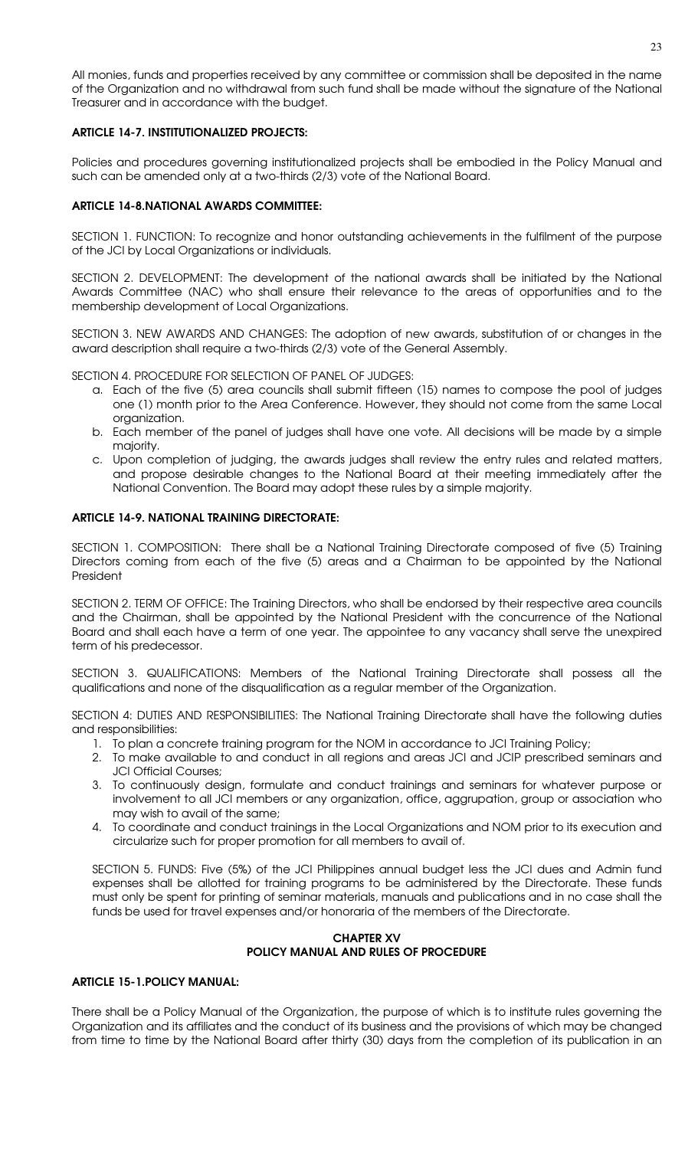All monies, funds and properties received by any committee or commission shall be deposited in the name of the Organization and no withdrawal from such fund shall be made without the signature of the National Treasurer and in accordance with the budget.

# ARTICLE 14-7. INSTITUTIONALIZED PROJECTS:

Policies and procedures governing institutionalized projects shall be embodied in the Policy Manual and such can be amended only at a two-thirds (2/3) vote of the National Board.

# ARTICLE 14-8.NATIONAL AWARDS COMMITTEE:

SECTION 1. FUNCTION: To recognize and honor outstanding achievements in the fulfilment of the purpose of the JCI by Local Organizations or individuals.

SECTION 2. DEVELOPMENT: The development of the national awards shall be initiated by the National Awards Committee (NAC) who shall ensure their relevance to the areas of opportunities and to the membership development of Local Organizations.

SECTION 3. NEW AWARDS AND CHANGES: The adoption of new awards, substitution of or changes in the award description shall require a two-thirds (2/3) vote of the General Assembly.

SECTION 4. PROCEDURE FOR SELECTION OF PANEL OF JUDGES:

- a. Each of the five (5) area councils shall submit fifteen (15) names to compose the pool of judges one (1) month prior to the Area Conference. However, they should not come from the same Local organization.
- b. Each member of the panel of judges shall have one vote. All decisions will be made by a simple majority.
- c. Upon completion of judging, the awards judges shall review the entry rules and related matters, and propose desirable changes to the National Board at their meeting immediately after the National Convention. The Board may adopt these rules by a simple majority.

# ARTICLE 14-9. NATIONAL TRAINING DIRECTORATE:

SECTION 1. COMPOSITION: There shall be a National Training Directorate composed of five (5) Training Directors coming from each of the five (5) areas and a Chairman to be appointed by the National President

SECTION 2. TERM OF OFFICE: The Training Directors, who shall be endorsed by their respective area councils and the Chairman, shall be appointed by the National President with the concurrence of the National Board and shall each have a term of one year. The appointee to any vacancy shall serve the unexpired term of his predecessor.

SECTION 3. QUALIFICATIONS: Members of the National Training Directorate shall possess all the qualifications and none of the disqualification as a regular member of the Organization.

SECTION 4: DUTIES AND RESPONSIBILITIES: The National Training Directorate shall have the following duties and responsibilities:

- 1. To plan a concrete training program for the NOM in accordance to JCI Training Policy;
- 2. To make available to and conduct in all regions and areas JCI and JCIP prescribed seminars and JCI Official Courses;
- 3. To continuously design, formulate and conduct trainings and seminars for whatever purpose or involvement to all JCI members or any organization, office, aggrupation, group or association who may wish to avail of the same;
- 4. To coordinate and conduct trainings in the Local Organizations and NOM prior to its execution and circularize such for proper promotion for all members to avail of.

SECTION 5. FUNDS: Five (5%) of the JCI Philippines annual budget less the JCI dues and Admin fund expenses shall be allotted for training programs to be administered by the Directorate. These funds must only be spent for printing of seminar materials, manuals and publications and in no case shall the funds be used for travel expenses and/or honoraria of the members of the Directorate.

# CHAPTER XV POLICY MANUAL AND RULES OF PROCEDURE

# ARTICLE 15-1.POLICY MANUAL:

There shall be a Policy Manual of the Organization, the purpose of which is to institute rules governing the Organization and its affiliates and the conduct of its business and the provisions of which may be changed from time to time by the National Board after thirty (30) days from the completion of its publication in an